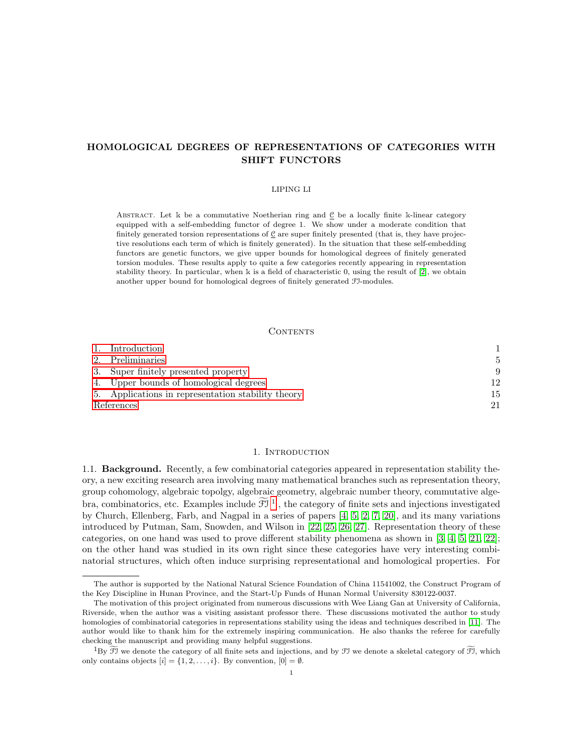# HOMOLOGICAL DEGREES OF REPRESENTATIONS OF CATEGORIES WITH SHIFT FUNCTORS

#### LIPING LI

ABSTRACT. Let  $\Bbbk$  be a commutative Noetherian ring and  $\underline{\mathcal{C}}$  be a locally finite k-linear category equipped with a self-embedding functor of degree 1. We show under a moderate condition that finitely generated torsion representations of  $C$  are super finitely presented (that is, they have projective resolutions each term of which is finitely generated). In the situation that these self-embedding functors are genetic functors, we give upper bounds for homological degrees of finitely generated torsion modules. These results apply to quite a few categories recently appearing in representation stability theory. In particular, when k is a field of characteristic 0, using the result of [\[2\]](#page-20-0), we obtain another upper bound for homological degrees of finitely generated FI-modules.

#### CONTENTS

|            | 1. Introduction                                    |    |
|------------|----------------------------------------------------|----|
|            | 2. Preliminaries                                   |    |
|            | 3. Super finitely presented property               | 9  |
|            | 4. Upper bounds of homological degrees             | 12 |
|            | 5. Applications in representation stability theory | 15 |
| References |                                                    | 21 |

# 1. INTRODUCTION

<span id="page-0-0"></span>1.1. Background. Recently, a few combinatorial categories appeared in representation stability theory, a new exciting research area involving many mathematical branches such as representation theory, group cohomology, algebraic topolgy, algebraic geometry, algebraic number theory, commutative algebra, combinatorics, etc. Examples include  $\mathcal{FJ}^{-1}$  $\mathcal{FJ}^{-1}$  $\mathcal{FJ}^{-1}$ , the category of finite sets and injections investigated by Church, Ellenberg, Farb, and Nagpal in a series of papers [\[4,](#page-20-2) [5,](#page-20-3) [2,](#page-20-0) [7,](#page-20-4) [20\]](#page-21-0), and its many variations introduced by Putman, Sam, Snowden, and Wilson in [\[22,](#page-21-1) [25,](#page-21-2) [26,](#page-21-3) [27\]](#page-21-4). Representation theory of these categories, on one hand was used to prove different stability phenomena as shown in [\[3,](#page-20-5) [4,](#page-20-2) [5,](#page-20-3) [21,](#page-21-5) [22\]](#page-21-1); on the other hand was studied in its own right since these categories have very interesting combinatorial structures, which often induce surprising representational and homological properties. For

The author is supported by the National Natural Science Foundation of China 11541002, the Construct Program of the Key Discipline in Hunan Province, and the Start-Up Funds of Hunan Normal University 830122-0037.

The motivation of this project originated from numerous discussions with Wee Liang Gan at University of California, Riverside, when the author was a visiting assistant professor there. These discussions motivated the author to study homologies of combinatorial categories in representations stability using the ideas and techniques described in [\[11\]](#page-20-6). The author would like to thank him for the extremely inspiring communication. He also thanks the referee for carefully checking the manuscript and providing many helpful suggestions.

<span id="page-0-1"></span> ${}^{1}By \tilde{J}$  we denote the category of all finite sets and injections, and by  $Jy$  we denote a skeletal category of  $Jy$ , which only contains objects  $[i] = \{1, 2, \ldots, i\}$ . By convention,  $[0] = \emptyset$ .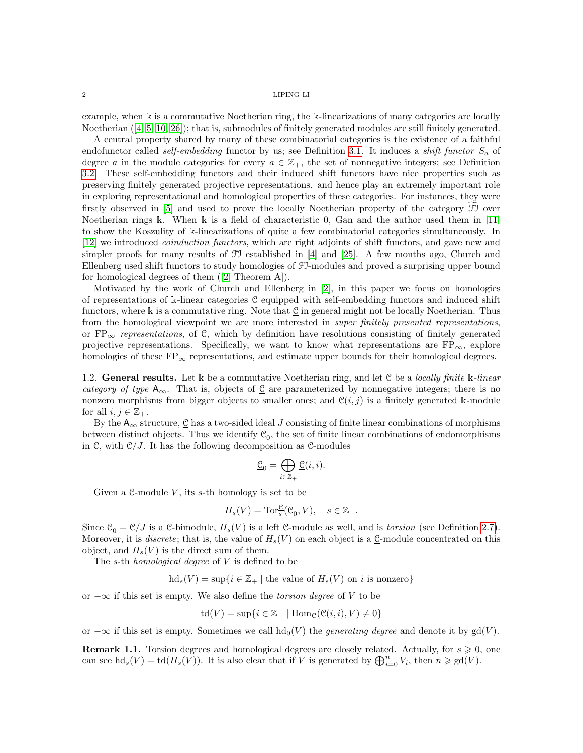example, when k is a commutative Noetherian ring, the k-linearizations of many categories are locally Noetherian ([\[4,](#page-20-2) [5,](#page-20-3) [10,](#page-20-7) [26\]](#page-21-3)); that is, submodules of finitely generated modules are still finitely generated.

A central property shared by many of these combinatorial categories is the existence of a faithful endofunctor called self-embedding functor by us; see Definition [3.1.](#page-8-1) It induces a shift functor  $S_a$  of degree a in the module categories for every  $a \in \mathbb{Z}_+$ , the set of nonnegative integers; see Definition [3.2.](#page-8-2) These self-embedding functors and their induced shift functors have nice properties such as preserving finitely generated projective representations. and hence play an extremely important role in exploring representational and homological properties of these categories. For instances, they were firstly observed in  $[5]$  and used to prove the locally Noetherian property of the category  $\mathfrak F$  over Noetherian rings k. When k is a field of characteristic 0, Gan and the author used them in [\[11\]](#page-20-6) to show the Koszulity of k-linearizations of quite a few combinatorial categories simultaneously. In [\[12\]](#page-20-8) we introduced coinduction functors, which are right adjoints of shift functors, and gave new and simpler proofs for many results of  $\mathfrak F$  established in [\[4\]](#page-20-2) and [\[25\]](#page-21-2). A few months ago, Church and Ellenberg used shift functors to study homologies of FI-modules and proved a surprising upper bound for homological degrees of them ([\[2,](#page-20-0) Theorem A]).

Motivated by the work of Church and Ellenberg in [\[2\]](#page-20-0), in this paper we focus on homologies of representations of k-linear categories C equipped with self-embedding functors and induced shift functors, where k is a commutative ring. Note that C in general might not be locally Noetherian. Thus from the homological viewpoint we are more interested in *super finitely presented representations*, or  $FP_{\infty}$  representations, of  $\mathcal{C}$ , which by definition have resolutions consisting of finitely generated projective representations. Specifically, we want to know what representations are  $FP_{\infty}$ , explore homologies of these  $FP_{\infty}$  representations, and estimate upper bounds for their homological degrees.

1.2. General results. Let  $\Bbbk$  be a commutative Noetherian ring, and let  $\mathcal C$  be a locally finite  $\Bbbk$ -linear category of type  $A_{\infty}$ . That is, objects of <u>C</u> are parameterized by nonnegative integers; there is no nonzero morphisms from bigger objects to smaller ones; and  $\underline{\mathcal{C}}(i, j)$  is a finitely generated k-module for all  $i, j \in \mathbb{Z}_+$ .

By the  $A_{\infty}$  structure,  $\underline{\mathcal{C}}$  has a two-sided ideal J consisting of finite linear combinations of morphisms between distinct objects. Thus we identify  $\underline{\mathcal{C}}_0$ , the set of finite linear combinations of endomorphisms in C, with  $C/J$ . It has the following decomposition as C-modules

$$
\underline{\mathcal{C}}_0 = \bigoplus_{i \in \mathbb{Z}_+} \underline{\mathcal{C}}(i, i).
$$

Given a  $\underline{\mathcal{C}}$ -module V, its s-th homology is set to be

$$
H_s(V) = \operatorname{Tor}_s^{\mathfrak{C}}(\underline{\mathfrak{C}}_0, V), \quad s \in \mathbb{Z}_+.
$$

Since  $\underline{\mathcal{C}}_0 = \underline{\mathcal{C}}/J$  is a  $\underline{\mathcal{C}}$ -bimodule,  $H_s(V)$  is a left  $\underline{\mathcal{C}}$ -module as well, and is *torsion* (see Definition [2.7\)](#page-7-0). Moreover, it is *discrete*; that is, the value of  $H_s(V)$  on each object is a  $\underline{\mathcal{C}}$ -module concentrated on this object, and  $H_s(V)$  is the direct sum of them.

The s-th homological degree of V is defined to be

 $hd_s(V) = \sup\{i \in \mathbb{Z}_+ \mid \text{the value of } H_s(V) \text{ on } i \text{ is nonzero}\}\$ 

or  $-\infty$  if this set is empty. We also define the *torsion degree* of V to be

$$
\operatorname{td}(V) = \sup\{i \in \mathbb{Z}_+ \mid \operatorname{Hom}_{\mathcal{C}}(\mathcal{C}(i,i), V) \neq 0\}
$$

or  $-\infty$  if this set is empty. Sometimes we call  $hd_0(V)$  the *generating degree* and denote it by gd(V).

**Remark 1.1.** Torsion degrees and homological degrees are closely related. Actually, for  $s \geq 0$ , one can see  $\mathrm{hd}_s(V) = \mathrm{td}(H_s(V))$ . It is also clear that if V is generated by  $\bigoplus_{i=0}^n V_i$ , then  $n \geq \mathrm{gd}(V)$ .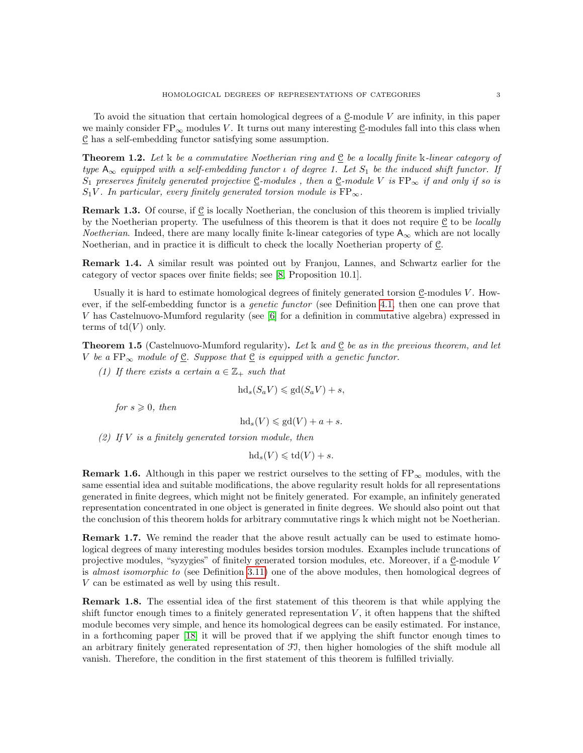To avoid the situation that certain homological degrees of a  $\underline{C}$ -module V are infinity, in this paper we mainly consider  $FP_{\infty}$  modules V. It turns out many interesting  $C$ -modules fall into this class when  $\underline{\mathcal{C}}$  has a self-embedding functor satisfying some assumption.

<span id="page-2-0"></span>**Theorem 1.2.** Let k be a commutative Noetherian ring and  $\underline{C}$  be a locally finite k-linear category of type  $A_{\infty}$  equipped with a self-embedding functor  $\iota$  of degree 1. Let  $S_1$  be the induced shift functor. If S<sub>1</sub> preserves finitely generated projective <u>C</u>-modules, then a  $C$ -module V is  $FP_{\infty}$  if and only if so is  $S_1V$ . In particular, every finitely generated torsion module is  $FP_{\infty}$ .

**Remark 1.3.** Of course, if C is locally Noetherian, the conclusion of this theorem is implied trivially by the Noetherian property. The usefulness of this theorem is that it does not require  $\underline{\mathfrak{C}}$  to be *locally Noetherian.* Indeed, there are many locally finite k-linear categories of type  $A_{\infty}$  which are not locally Noetherian, and in practice it is difficult to check the locally Noetherian property of C.

Remark 1.4. A similar result was pointed out by Franjou, Lannes, and Schwartz earlier for the category of vector spaces over finite fields; see [\[8,](#page-20-9) Proposition 10.1].

Usually it is hard to estimate homological degrees of finitely generated torsion  $C$ -modules  $V$ . However, if the self-embedding functor is a genetic functor (see Definition [4.1,](#page-11-1) then one can prove that V has Castelnuovo-Mumford regularity (see [\[6\]](#page-20-10) for a definition in commutative algebra) expressed in terms of  $td(V)$  only.

<span id="page-2-1"></span>**Theorem 1.5** (Castelnuovo-Mumford regularity). Let k and  $C$  be as in the previous theorem, and let V be a  $FP_{\infty}$  module of <u>C</u>. Suppose that  $C$  is equipped with a genetic functor.

(1) If there exists a certain  $a \in \mathbb{Z}_+$  such that

$$
\mathrm{hd}_s(S_a V) \leqslant \mathrm{gd}(S_a V) + s,
$$

for  $s \geqslant 0$ , then

$$
hd_s(V) \leqslant gd(V) + a + s.
$$

(2) If  $V$  is a finitely generated torsion module, then

 $hd_s(V) \leqslant td(V) + s.$ 

**Remark 1.6.** Although in this paper we restrict ourselves to the setting of  $FP_{\infty}$  modules, with the same essential idea and suitable modifications, the above regularity result holds for all representations generated in finite degrees, which might not be finitely generated. For example, an infinitely generated representation concentrated in one object is generated in finite degrees. We should also point out that the conclusion of this theorem holds for arbitrary commutative rings k which might not be Noetherian.

Remark 1.7. We remind the reader that the above result actually can be used to estimate homological degrees of many interesting modules besides torsion modules. Examples include truncations of projective modules, "syzygies" of finitely generated torsion modules, etc. Moreover, if a C-module V is almost isomorphic to (see Definition [3.11\)](#page-10-0) one of the above modules, then homological degrees of V can be estimated as well by using this result.

Remark 1.8. The essential idea of the first statement of this theorem is that while applying the shift functor enough times to a finitely generated representation  $V$ , it often happens that the shifted module becomes very simple, and hence its homological degrees can be easily estimated. For instance, in a forthcoming paper [\[18\]](#page-20-11) it will be proved that if we applying the shift functor enough times to an arbitrary finitely generated representation of FI, then higher homologies of the shift module all vanish. Therefore, the condition in the first statement of this theorem is fulfilled trivially.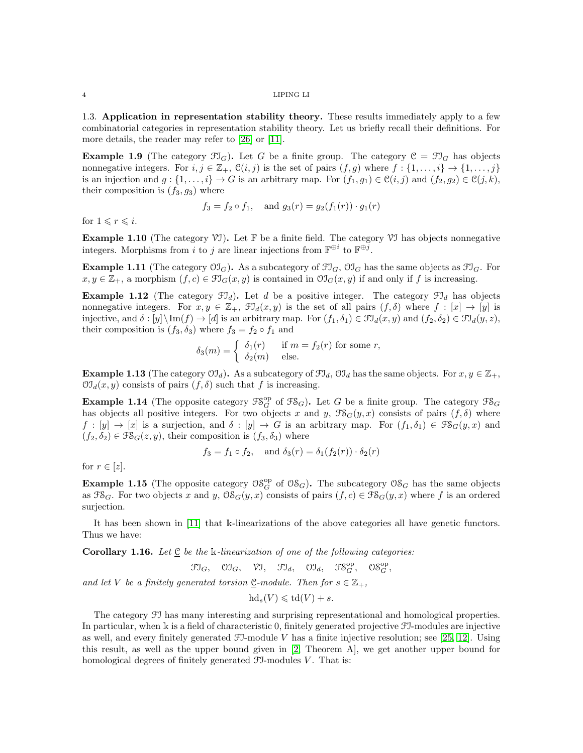1.3. Application in representation stability theory. These results immediately apply to a few combinatorial categories in representation stability theory. Let us briefly recall their definitions. For more details, the reader may refer to [\[26\]](#page-21-3) or [\[11\]](#page-20-6).

**Example 1.9** (The category  $\mathfrak{Fl}_G$ ). Let G be a finite group. The category  $\mathfrak{C} = \mathfrak{Fl}_G$  has objects nonnegative integers. For  $i, j \in \mathbb{Z}_+$ ,  $\mathcal{C}(i, j)$  is the set of pairs  $(f, g)$  where  $f : \{1, \ldots, i\} \to \{1, \ldots, j\}$ is an injection and  $g: \{1, \ldots, i\} \to G$  is an arbitrary map. For  $(f_1, g_1) \in \mathcal{C}(i, j)$  and  $(f_2, g_2) \in \mathcal{C}(j, k)$ , their composition is  $(f_3, g_3)$  where

$$
f_3 = f_2 \circ f_1
$$
, and  $g_3(r) = g_2(f_1(r)) \cdot g_1(r)$ 

for  $1 \leq r \leq i$ .

**Example 1.10** (The category  $\mathcal{V}$ ). Let  $\mathbb{F}$  be a finite field. The category  $\mathcal{V}$  has objects nonnegative integers. Morphisms from i to j are linear injections from  $\mathbb{F}^{\oplus i}$  to  $\mathbb{F}^{\oplus j}$ .

**Example 1.11** (The category  $\mathcal{O}(\mathcal{I}_G)$ ). As a subcategory of  $\mathcal{F}\mathcal{I}_G$ ,  $\mathcal{O}\mathcal{I}_G$  has the same objects as  $\mathcal{F}\mathcal{I}_G$ . For  $x, y \in \mathbb{Z}_+$ , a morphism  $(f, c) \in \mathfrak{Fl}_G(x, y)$  is contained in  $\mathfrak{OI}_G(x, y)$  if and only if f is increasing.

**Example 1.12** (The category  $\mathfrak{FJ}_d$ ). Let d be a positive integer. The category  $\mathfrak{FJ}_d$  has objects nonnegative integers. For  $x, y \in \mathbb{Z}_+$ ,  $\mathfrak{I}_d(x, y)$  is the set of all pairs  $(f, \delta)$  where  $f : [x] \to [y]$  is injective, and  $\delta$  :  $[y] \setminus \text{Im}(f) \to [d]$  is an arbitrary map. For  $(f_1, \delta_1) \in \mathfrak{Fl}_d(x, y)$  and  $(f_2, \delta_2) \in \mathfrak{Fl}_d(y, z)$ , their composition is  $(f_3, \delta_3)$  where  $f_3 = f_2 \circ f_1$  and

$$
\delta_3(m) = \begin{cases} \delta_1(r) & \text{if } m = f_2(r) \text{ for some } r, \\ \delta_2(m) & \text{else.} \end{cases}
$$

**Example 1.13** (The category  $\mathcal{O}(\mathcal{I}_d)$ ). As a subcategory of  $\mathcal{F}\mathcal{I}_d$ ,  $\mathcal{O}\mathcal{I}_d$  has the same objects. For  $x, y \in \mathbb{Z}_+$ ,  $\mathfrak{O}J_d(x,y)$  consists of pairs  $(f,\delta)$  such that f is increasing.

**Example 1.14** (The opposite category  $\mathfrak{FS}_G^{\text{op}}$  of  $\mathfrak{FS}_G$ ). Let G be a finite group. The category  $\mathfrak{FS}_G$ has objects all positive integers. For two objects x and y,  $\mathcal{F}\mathcal{S}_G(y,x)$  consists of pairs  $(f,\delta)$  where  $f : [y] \to [x]$  is a surjection, and  $\delta : [y] \to G$  is an arbitrary map. For  $(f_1, \delta_1) \in \mathcal{FS}_G(y, x)$  and  $(f_2, \delta_2) \in \mathfrak{FS}_G(z, y)$ , their composition is  $(f_3, \delta_3)$  where

$$
f_3 = f_1 \circ f_2
$$
, and  $\delta_3(r) = \delta_1(f_2(r)) \cdot \delta_2(r)$ 

for  $r \in [z]$ .

**Example 1.15** (The opposite category  $\mathcal{O}\mathcal{S}_{G}^{op}$  of  $\mathcal{O}\mathcal{S}_{G}$ ). The subcategory  $\mathcal{O}\mathcal{S}_{G}$  has the same objects as  $\mathfrak{FS}_G$ . For two objects x and y,  $\mathfrak{OS}_G(y, x)$  consists of pairs  $(f, c) \in \mathfrak{FS}_G(y, x)$  where f is an ordered surjection.

It has been shown in [\[11\]](#page-20-6) that k-linearizations of the above categories all have genetic functors. Thus we have:

<span id="page-3-0"></span>**Corollary 1.16.** Let  $C$  be the k-linearization of one of the following categories:

 $\mathfrak{Fl}_G$ ,  $\mathfrak{V} \mathfrak{I}_G$ ,  $\mathfrak{V} \mathfrak{I}$ ,  $\mathfrak{Fl}_d$ ,  $\mathfrak{V} \mathfrak{I}_d$ ,  $\mathfrak{FS}_G^{\mathrm{op}}$ ,  $\mathfrak{OS}_G^{\mathrm{op}}$ ,

and let V be a finitely generated torsion C-module. Then for  $s \in \mathbb{Z}_+$ ,

 $hd_s(V) \leqslant td(V) + s.$ 

The category FI has many interesting and surprising representational and homological properties. In particular, when k is a field of characteristic 0, finitely generated projective FI-modules are injective as well, and every finitely generated  $\mathfrak{I}$ -module V has a finite injective resolution; see [\[25,](#page-21-2) [12\]](#page-20-8). Using this result, as well as the upper bound given in [\[2,](#page-20-0) Theorem A], we get another upper bound for homological degrees of finitely generated  $\mathfrak{F}$ -modules V. That is: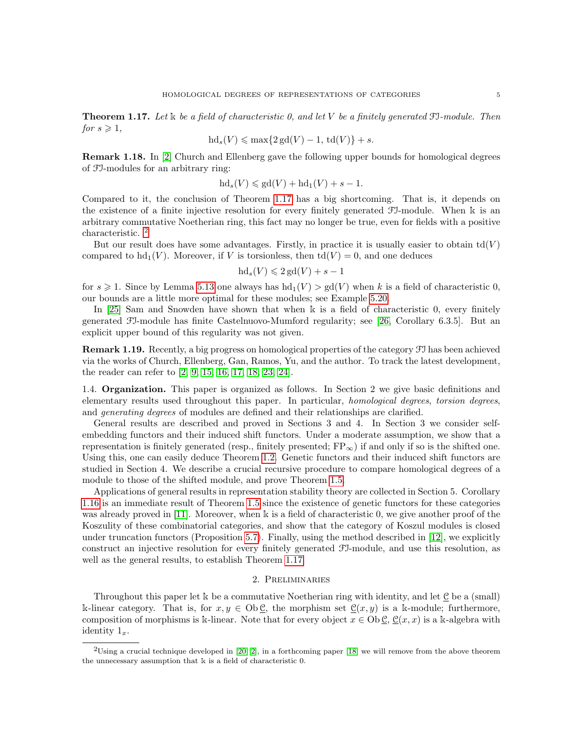<span id="page-4-1"></span>**Theorem 1.17.** Let  $\⊂>k$  be a field of characteristic 0, and let V be a finitely generated FI-module. Then for  $s \geqslant 1$ ,

$$
hd_s(V) \leqslant \max\{2\,\text{gd}(V) - 1, \,\text{td}(V)\} + s.
$$

Remark 1.18. In [\[2\]](#page-20-0) Church and Ellenberg gave the following upper bounds for homological degrees of FI-modules for an arbitrary ring:

$$
hd_s(V) \leqslant gd(V) + hd_1(V) + s - 1.
$$

Compared to it, the conclusion of Theorem [1.17](#page-4-1) has a big shortcoming. That is, it depends on the existence of a finite injective resolution for every finitely generated FI-module. When k is an arbitrary commutative Noetherian ring, this fact may no longer be true, even for fields with a positive characteristic.<sup>[2](#page-4-2)</sup>

But our result does have some advantages. Firstly, in practice it is usually easier to obtain  $td(V)$ compared to  $hd_1(V)$ . Moreover, if V is torsionless, then  $td(V) = 0$ , and one deduces

$$
hd_s(V) \leq 2\,\mathrm{gd}(V) + s - 1
$$

for  $s \geq 1$ . Since by Lemma [5.13](#page-17-0) one always has  $hd_1(V) > gd(V)$  when k is a field of characteristic 0, our bounds are a little more optimal for these modules; see Example [5.20.](#page-20-12)

In [\[25\]](#page-21-2) Sam and Snowden have shown that when k is a field of characteristic 0, every finitely generated FI-module has finite Castelnuovo-Mumford regularity; see [\[26,](#page-21-3) Corollary 6.3.5]. But an explicit upper bound of this regularity was not given.

Remark 1.19. Recently, a big progress on homological properties of the category FI has been achieved via the works of Church, Ellenberg, Gan, Ramos, Yu, and the author. To track the latest development, the reader can refer to [\[2,](#page-20-0) [9,](#page-20-13) [15,](#page-20-14) [16,](#page-20-15) [17,](#page-20-16) [18,](#page-20-11) [23,](#page-21-6) [24\]](#page-21-7).

1.4. Organization. This paper is organized as follows. In Section 2 we give basic definitions and elementary results used throughout this paper. In particular, homological degrees, torsion degrees, and generating degrees of modules are defined and their relationships are clarified.

General results are described and proved in Sections 3 and 4. In Section 3 we consider selfembedding functors and their induced shift functors. Under a moderate assumption, we show that a representation is finitely generated (resp., finitely presented;  $FP_{\infty}$ ) if and only if so is the shifted one. Using this, one can easily deduce Theorem [1.2.](#page-2-0) Genetic functors and their induced shift functors are studied in Section 4. We describe a crucial recursive procedure to compare homological degrees of a module to those of the shifted module, and prove Theorem [1.5.](#page-2-1)

Applications of general results in representation stability theory are collected in Section 5. Corollary [1.16](#page-3-0) is an immediate result of Theorem [1.5](#page-2-1) since the existence of genetic functors for these categories was already proved in [\[11\]](#page-20-6). Moreover, when k is a field of characteristic 0, we give another proof of the Koszulity of these combinatorial categories, and show that the category of Koszul modules is closed under truncation functors (Proposition [5.7\)](#page-16-0). Finally, using the method described in [\[12\]](#page-20-8), we explicitly construct an injective resolution for every finitely generated FI-module, and use this resolution, as well as the general results, to establish Theorem [1.17.](#page-4-1)

# 2. Preliminaries

<span id="page-4-0"></span>Throughout this paper let  $\Bbbk$  be a commutative Noetherian ring with identity, and let  $\underline{\mathcal{C}}$  be a (small) k-linear category. That is, for  $x, y \in Ob \mathcal{C}$ , the morphism set  $\mathcal{C}(x, y)$  is a k-module; furthermore, composition of morphisms is k-linear. Note that for every object  $x \in \text{Ob } \mathcal{C}$ ,  $\mathcal{C}(x, x)$  is a k-algebra with identity  $1_x$ .

<span id="page-4-2"></span> $2$ Using a crucial technique developed in [\[20,](#page-21-0) [2\]](#page-20-0), in a forthcoming paper [\[18\]](#page-20-11) we will remove from the above theorem the unnecessary assumption that k is a field of characteristic 0.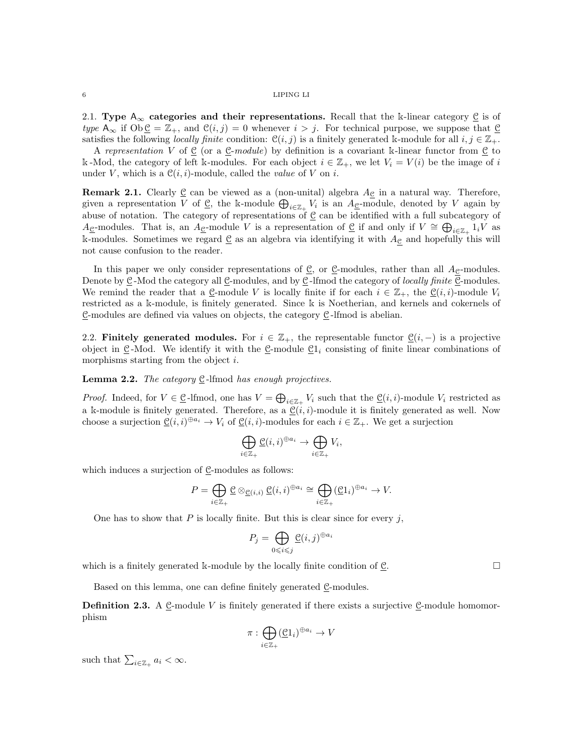2.1. Type  $A_{\infty}$  categories and their representations. Recall that the k-linear category  $\underline{\mathcal{C}}$  is of type  $A_{\infty}$  if  $\text{Ob } \underline{\mathcal{C}} = \mathbb{Z}_+$ , and  $\mathcal{C}(i, j) = 0$  whenever  $i > j$ . For technical purpose, we suppose that  $\underline{\mathcal{C}}$ satisfies the following *locally finite* condition:  $\mathcal{C}(i, j)$  is a finitely generated k-module for all  $i, j \in \mathbb{Z}_+$ .

A representation V of  $\underline{\mathcal{C}}$  (or a  $\underline{\mathcal{C}}$ -module) by definition is a covariant k-linear functor from  $\underline{\mathcal{C}}$  to k -Mod, the category of left k-modules. For each object  $i \in \mathbb{Z}_+$ , we let  $V_i = V(i)$  be the image of i under V, which is a  $\mathcal{C}(i, i)$ -module, called the *value* of V on *i*.

**Remark 2.1.** Clearly  $\underline{\mathcal{C}}$  can be viewed as a (non-unital) algebra  $A_{\underline{\mathcal{C}}}$  in a natural way. Therefore, given a representation V of  $\underline{\mathcal{C}}$ , the k-module  $\bigoplus_{i\in\mathbb{Z}_+}V_i$  is an  $A_{\underline{\mathcal{C}}}$ -module, denoted by V again by abuse of notation. The category of representations of  $\underline{\mathcal{C}}$  can be identified with a full subcategory of A<sub>C</sub>-modules. That is, an A<sub>C</sub>-module V is a representation of  $\subseteq$  if and only if  $V \cong \bigoplus_{i \in \mathbb{Z}_+} 1_i V$  as k-modules. Sometimes we regard  $\underline{\mathcal{C}}$  as an algebra via identifying it with  $A_{\underline{\mathcal{C}}}$  and hopefully this will not cause confusion to the reader.

In this paper we only consider representations of  $\mathcal{C}$ , or  $\mathcal{C}$ -modules, rather than all  $A_{\mathcal{C}}$ -modules. Denote by  $\underline{\mathcal{C}}$ -Mod the category all  $\underline{\mathcal{C}}$ -modules, and by  $\underline{\mathcal{C}}$ -lfmod the category of locally finite  $\underline{\mathcal{C}}$ -modules. We remind the reader that a  $\underline{\mathcal{C}}$ -module V is locally finite if for each  $i \in \mathbb{Z}_+$ , the  $\underline{\mathcal{C}}(i,i)$ -module  $V_i$ restricted as a k-module, is finitely generated. Since k is Noetherian, and kernels and cokernels of  $\underline{\mathcal{C}}$ -modules are defined via values on objects, the category  $\underline{\mathcal{C}}$ -lfmod is abelian.

2.2. Finitely generated modules. For  $i \in \mathbb{Z}_+$ , the representable functor  $\underline{\mathcal{C}}(i,-)$  is a projective object in  $\underline{\mathcal{C}}$ -Mod. We identify it with the  $\underline{\mathcal{C}}$ -module  $\underline{\mathcal{C}}1_i$  consisting of finite linear combinations of morphisms starting from the object *i*.

**Lemma 2.2.** The category  $\underline{C}$ -lfmod has enough projectives.

*Proof.* Indeed, for  $V \in \mathcal{C}$ -lfmod, one has  $V = \bigoplus_{i \in \mathbb{Z}_+} V_i$  such that the  $\mathcal{C}(i, i)$ -module  $V_i$  restricted as a k-module is finitely generated. Therefore, as a  $\underline{\mathcal{C}}(i,i)$ -module it is finitely generated as well. Now choose a surjection  $\underline{\mathfrak{C}}(i,i)^{\oplus a_i} \to V_i$  of  $\underline{\mathfrak{C}}(i,i)$ -modules for each  $i \in \mathbb{Z}_+$ . We get a surjection

$$
\bigoplus_{i\in\mathbb{Z}_+}\underline{\mathbb{C}}(i,i)^{\oplus a_i}\to\bigoplus_{i\in\mathbb{Z}_+}V_i,
$$

which induces a surjection of  $Q$ -modules as follows:

$$
P = \bigoplus_{i \in \mathbb{Z}_+} \underline{\mathcal{C}} \otimes_{\underline{\mathcal{C}}(i,i)} \underline{\mathcal{C}}(i,i)^{\oplus a_i} \cong \bigoplus_{i \in \mathbb{Z}_+} (\underline{\mathcal{C}}1_i)^{\oplus a_i} \to V.
$$

One has to show that  $P$  is locally finite. But this is clear since for every  $j$ ,

$$
P_j = \bigoplus_{0 \leq i \leq j} \underline{\mathcal{C}}(i,j)^{\oplus a_i}
$$

which is a finitely generated k-module by the locally finite condition of  $\mathcal{C}$ .

Based on this lemma, one can define finitely generated C-modules.

**Definition 2.3.** A  $\mathcal{C}$ -module V is finitely generated if there exists a surjective  $\mathcal{C}$ -module homomorphism

$$
\pi: \bigoplus_{i \in \mathbb{Z}_+} (\underline{\mathfrak{C}}1_i)^{\oplus a_i} \to V
$$

such that  $\sum_{i\in\mathbb{Z}_+} a_i < \infty$ .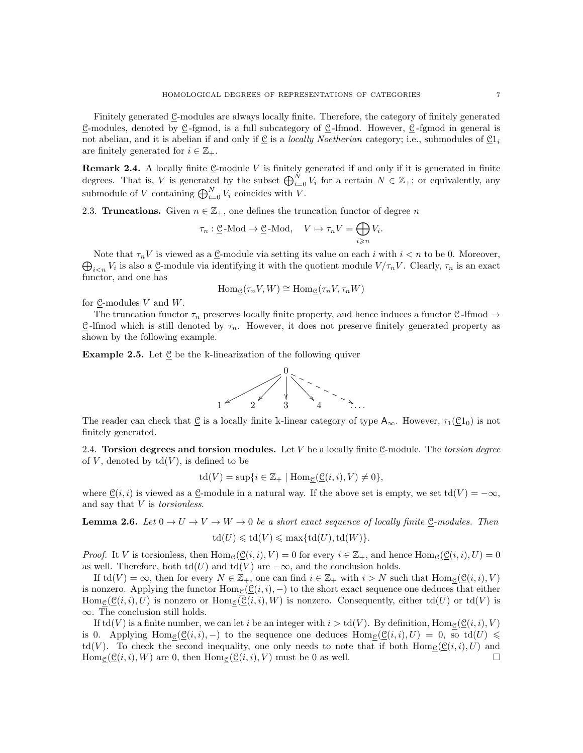Finitely generated C-modules are always locally finite. Therefore, the category of finitely generated C-modules, denoted by  $C$ -fgmod, is a full subcategory of  $C$ -lfmod. However,  $C$ -fgmod in general is not abelian, and it is abelian if and only if  $\underline{C}$  is a *locally Noetherian* category; i.e., submodules of  $\underline{C}1_i$ are finitely generated for  $i \in \mathbb{Z}_+$ .

<span id="page-6-0"></span>**Remark 2.4.** A locally finite  $\underline{\mathcal{C}}$ -module V is finitely generated if and only if it is generated in finite degrees. That is, V is generated by the subset  $\bigoplus_{i=0}^{N} V_i$  for a certain  $N \in \mathbb{Z}_+$ ; or equivalently, any submodule of V containing  $\bigoplus_{i=0}^{N} V_i$  coincides with V.

2.3. Truncations. Given  $n \in \mathbb{Z}_+$ , one defines the truncation functor of degree n

$$
\tau_n : \underline{\mathcal{C}}\text{-Mod} \to \underline{\mathcal{C}}\text{-Mod}, \quad V \mapsto \tau_n V = \bigoplus_{i \geqslant n} V_i.
$$

 $\bigoplus_{i\leq n}V_i$  is also a <u>C</u>-module via identifying it with the quotient module  $V/\tau_nV$ . Clearly,  $\tau_n$  is an exact Note that  $\tau_nV$  is viewed as a  $\underline{C}$ -module via setting its value on each i with  $i < n$  to be 0. Moreover, functor, and one has

$$
\operatorname{Hom}_{\mathcal{C}}(\tau_n V, W) \cong \operatorname{Hom}_{\mathcal{C}}(\tau_n V, \tau_n W)
$$

for  $Q$ -modules V and W.

The truncation functor  $\tau_n$  preserves locally finite property, and hence induces a functor  $\underline{\mathcal{C}}$ -lfmod  $\rightarrow$  $C$ -lfmod which is still denoted by  $\tau_n$ . However, it does not preserve finitely generated property as shown by the following example.

**Example 2.5.** Let  $C$  be the k-linearization of the following quiver



The reader can check that  $C$  is a locally finite k-linear category of type  $A_{\infty}$ . However,  $\tau_1(C_1_0)$  is not finitely generated.

2.4. Torsion degrees and torsion modules. Let  $V$  be a locally finite  $C$ -module. The torsion degree of V, denoted by  $td(V)$ , is defined to be

 $\mathrm{td}(V) = \sup\{i \in \mathbb{Z}_+ \mid \mathrm{Hom}_{\mathcal{C}}(\mathcal{C}(i,i), V) \neq 0\},\,$ 

where  $\underline{\mathcal{C}}(i,i)$  is viewed as a  $\underline{\mathcal{C}}$ -module in a natural way. If the above set is empty, we set  $\text{td}(V) = -\infty$ , and say that  $V$  is *torsionless*.

<span id="page-6-1"></span>**Lemma 2.6.** Let  $0 \to U \to V \to W \to 0$  be a short exact sequence of locally finite  $\underline{C}$ -modules. Then  $\text{td}(U) \leqslant \text{td}(V) \leqslant \max\{\text{td}(U),\text{td}(W)\}.$ 

*Proof.* It V is torsionless, then  $\text{Hom}_{\mathcal{C}}(\underline{\mathcal{C}}(i,i), V) = 0$  for every  $i \in \mathbb{Z}_+$ , and hence  $\text{Hom}_{\mathcal{C}}(\underline{\mathcal{C}}(i,i), U) = 0$ as well. Therefore, both  $\text{td}(U)$  and  $\text{td}(V)$  are  $-\infty$ , and the conclusion holds.

If  $\mathrm{td}(V) = \infty$ , then for every  $N \in \mathbb{Z}_+$ , one can find  $i \in \mathbb{Z}_+$  with  $i > N$  such that  $\mathrm{Hom}_{\mathcal{C}}(\mathcal{C}(i,i), V)$ is nonzero. Applying the functor  $\text{Hom}_{\mathcal{C}}(\mathcal{C}(i,i),-)$  to the short exact sequence one deduces that either  $\text{Hom}_{\mathcal{C}}(\mathcal{C}(i,i), U)$  is nonzero or  $\text{Hom}_{\mathcal{C}}(\mathcal{C}(i,i), W)$  is nonzero. Consequently, either td(U) or td(V) is ∞. The conclusion still holds.

If  $\text{td}(V)$  is a finite number, we can let i be an integer with  $i > \text{td}(V)$ . By definition, Home  $(\mathcal{C}(i, i), V)$ is 0. Applying Hom<sub>C</sub>( $\mathcal{C}(i, i)$ , –) to the sequence one deduces Hom<sub>C</sub>( $\mathcal{C}(i, i)$ ,  $U$ ) = 0, so td( $U$ )  $\leq$  $\text{td}(V)$ . To check the second inequality, one only needs to note that if both  $\text{Hom}_{\mathcal{C}}(\mathcal{C}(i,i), U)$  and  $\text{Hom}_{\mathcal{C}}(\underline{\mathcal{C}}(i,i), W)$  are 0, then  $\text{Hom}_{\mathcal{C}}(\underline{\mathcal{C}}(i,i), V)$  must be 0 as well.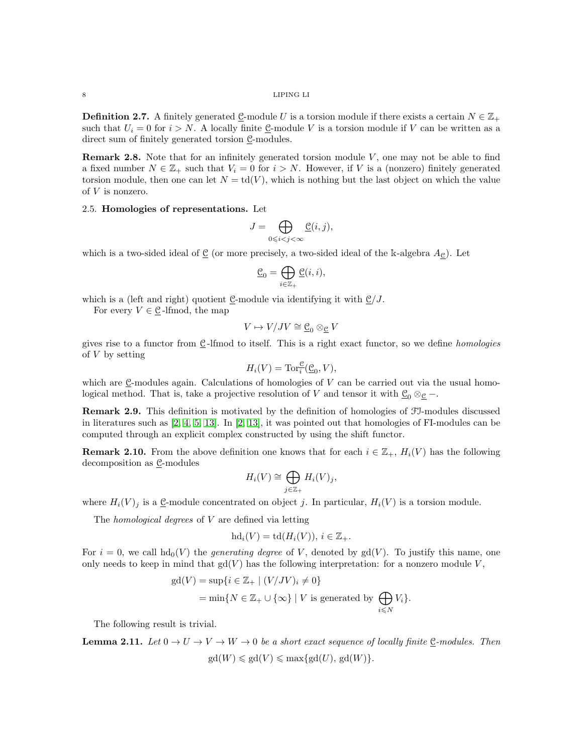<span id="page-7-0"></span>**Definition 2.7.** A finitely generated <u>C</u>-module U is a torsion module if there exists a certain  $N \in \mathbb{Z}_+$ such that  $U_i = 0$  for  $i > N$ . A locally finite C-module V is a torsion module if V can be written as a direct sum of finitely generated torsion  $\underline{\mathcal{C}}$ -modules.

**Remark 2.8.** Note that for an infinitely generated torsion module  $V$ , one may not be able to find a fixed number  $N \in \mathbb{Z}_+$  such that  $V_i = 0$  for  $i > N$ . However, if V is a (nonzero) finitely generated torsion module, then one can let  $N = \text{td}(V)$ , which is nothing but the last object on which the value of V is nonzero.

# 2.5. Homologies of representations. Let

$$
J=\bigoplus_{0\leqslant i
$$

which is a two-sided ideal of  $\underline{C}$  (or more precisely, a two-sided ideal of the k-algebra  $A_{\overline{C}}$ ). Let

$$
\underline{\mathfrak{C}}_0=\bigoplus_{i\in\mathbb{Z}_+}\underline{\mathfrak{C}}(i,i),
$$

which is a (left and right) quotient  $\underline{\mathcal{C}}$ -module via identifying it with  $\underline{\mathcal{C}}/J$ .

For every  $V \in \mathcal{C}$ -lfmod, the map

$$
V \mapsto V/JV \cong \underline{\mathcal{C}}_0 \otimes_{\underline{\mathcal{C}}} V
$$

gives rise to a functor from  $\underline{C}$ -lfmod to itself. This is a right exact functor, so we define *homologies* of  $V$  by setting

$$
H_i(V) = \operatorname{Tor}_i^{\mathfrak{C}}(\underline{\mathfrak{C}}_0, V),
$$

which are C-modules again. Calculations of homologies of  $V$  can be carried out via the usual homological method. That is, take a projective resolution of V and tensor it with  $\underline{C}_0 \otimes_{\mathcal{C}} -$ .

Remark 2.9. This definition is motivated by the definition of homologies of FI-modules discussed in literatures such as [\[2,](#page-20-0) [4,](#page-20-2) [5,](#page-20-3) [13\]](#page-20-17). In [\[2,](#page-20-0) [13\]](#page-20-17), it was pointed out that homologies of FI-modules can be computed through an explicit complex constructed by using the shift functor.

**Remark 2.10.** From the above definition one knows that for each  $i \in \mathbb{Z}_+$ ,  $H_i(V)$  has the following decomposition as  $C$ -modules

$$
H_i(V) \cong \bigoplus_{j \in \mathbb{Z}_+} H_i(V)_j,
$$

where  $H_i(V)_j$  is a C-module concentrated on object j. In particular,  $H_i(V)$  is a torsion module.

The *homological degrees* of  $V$  are defined via letting

$$
hd_i(V) = td(H_i(V)), i \in \mathbb{Z}_+.
$$

For  $i = 0$ , we call  $hd_0(V)$  the *generating degree* of V, denoted by  $gd(V)$ . To justify this name, one only needs to keep in mind that  $gd(V)$  has the following interpretation: for a nonzero module V,

$$
\begin{aligned} \text{gd}(V) &= \sup\{i \in \mathbb{Z}_+ \mid (V/JV)_i \neq 0\} \\ &= \min\{N \in \mathbb{Z}_+ \cup \{\infty\} \mid V \text{ is generated by } \bigoplus_{i \leq N} V_i\}. \end{aligned}
$$

The following result is trivial.

**Lemma 2.11.** Let  $0 \to U \to V \to W \to 0$  be a short exact sequence of locally finite C-modules. Then  $gd(W) \leq g d(V) \leq \max\{gd(U), gd(W)\}.$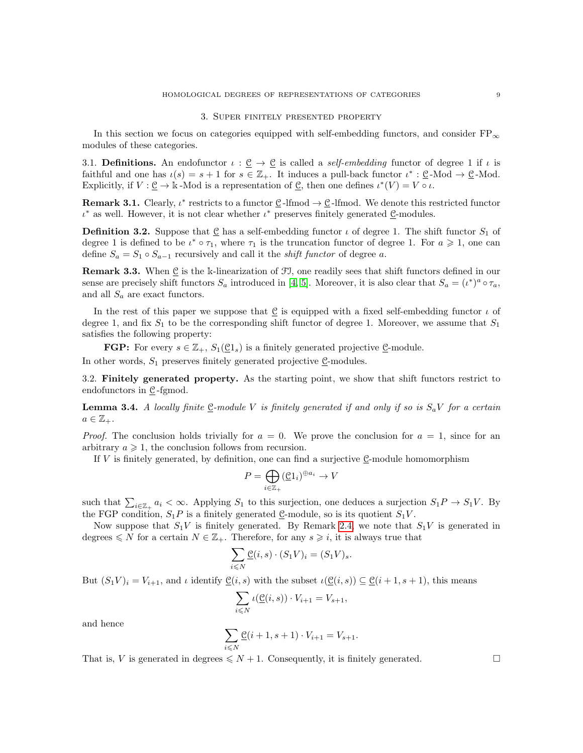#### 3. Super finitely presented property

<span id="page-8-0"></span>In this section we focus on categories equipped with self-embedding functors, and consider  $FP_{\infty}$ modules of these categories.

<span id="page-8-1"></span>3.1. Definitions. An endofunctor  $\iota : \underline{\mathcal{C}} \to \underline{\mathcal{C}}$  is called a self-embedding functor of degree 1 if  $\iota$  is faithful and one has  $\iota(s) = s + 1$  for  $s \in \mathbb{Z}_+$ . It induces a pull-back functor  $\iota^* : \underline{\mathfrak{C}}$ -Mod  $\rightarrow \underline{\mathfrak{C}}$ -Mod. Explicitly, if  $V : \underline{\mathcal{C}} \to \mathbb{k}$ -Mod is a representation of  $\underline{\mathcal{C}}$ , then one defines  $\iota^*(V) = V \circ \iota$ .

**Remark 3.1.** Clearly,  $\iota^*$  restricts to a functor  $\underline{\mathcal{C}}$ -lfmod  $\rightarrow \underline{\mathcal{C}}$ -lfmod. We denote this restricted functor  $\iota^*$  as well. However, it is not clear whether  $\iota^*$  preserves finitely generated  $\underline{\mathfrak{C}}$ -modules.

<span id="page-8-2"></span>**Definition 3.2.** Suppose that C has a self-embedding functor  $\iota$  of degree 1. The shift functor  $S_1$  of degree 1 is defined to be  $\iota^* \circ \tau_1$ , where  $\tau_1$  is the truncation functor of degree 1. For  $a \geq 1$ , one can define  $S_a = S_1 \circ S_{a-1}$  recursively and call it the *shift functor* of degree a.

**Remark 3.3.** When  $\underline{\mathcal{C}}$  is the k-linearization of  $\mathcal{F}J$ , one readily sees that shift functors defined in our sense are precisely shift functors  $S_a$  introduced in [\[4,](#page-20-2) [5\]](#page-20-3). Moreover, it is also clear that  $S_a = (i^*)^a \circ \tau_a$ , and all  $S_a$  are exact functors.

In the rest of this paper we suppose that  $C$  is equipped with a fixed self-embedding functor  $\iota$  of degree 1, and fix  $S_1$  to be the corresponding shift functor of degree 1. Moreover, we assume that  $S_1$ satisfies the following property:

**FGP:** For every  $s \in \mathbb{Z}_+$ ,  $S_1(\mathcal{C}1_s)$  is a finitely generated projective  $\mathcal{C}$ -module.

In other words,  $S_1$  preserves finitely generated projective  $\underline{\mathcal{C}}$ -modules.

3.2. Finitely generated property. As the starting point, we show that shift functors restrict to endofunctors in  $\underline{\mathcal{C}}$ -fgmod.

<span id="page-8-3"></span>**Lemma 3.4.** A locally finite  $C$ -module V is finitely generated if and only if so is  $S_aV$  for a certain  $a \in \mathbb{Z}_{+}$ .

*Proof.* The conclusion holds trivially for  $a = 0$ . We prove the conclusion for  $a = 1$ , since for an arbitrary  $a \geq 1$ , the conclusion follows from recursion.

If  $V$  is finitely generated, by definition, one can find a surjective C-module homomorphism

$$
P = \bigoplus_{i \in \mathbb{Z}_+} (\underline{\mathfrak{C}} 1_i)^{\oplus a_i} \to V
$$

such that  $\sum_{i\in\mathbb{Z}_+} a_i < \infty$ . Applying  $S_1$  to this surjection, one deduces a surjection  $S_1P \to S_1V$ . By the FGP condition,  $S_1P$  is a finitely generated  $\underline{\mathcal{C}}$ -module, so is its quotient  $S_1V$ .

Now suppose that  $S_1V$  is finitely generated. By Remark [2.4,](#page-6-0) we note that  $S_1V$  is generated in degrees  $\leq N$  for a certain  $N \in \mathbb{Z}_+$ . Therefore, for any  $s \geq i$ , it is always true that

$$
\sum_{i \leq N} \underline{\mathcal{C}}(i, s) \cdot (S_1 V)_i = (S_1 V)_s.
$$

But  $(S_1V)_i = V_{i+1}$ , and  $\iota$  identify  $\mathcal{Q}(i, s)$  with the subset  $\iota(\mathcal{Q}(i, s)) \subseteq \mathcal{Q}(i+1, s+1)$ , this means

$$
\sum_{i \leq N} \iota(\underline{\mathcal{C}}(i,s)) \cdot V_{i+1} = V_{s+1},
$$

and hence

$$
\sum_{i\leqslant N}\underline{\mathcal{C}}(i+1,s+1)\cdot V_{i+1}=V_{s+1}.
$$

That is, V is generated in degrees  $\leq N+1$ . Consequently, it is finitely generated.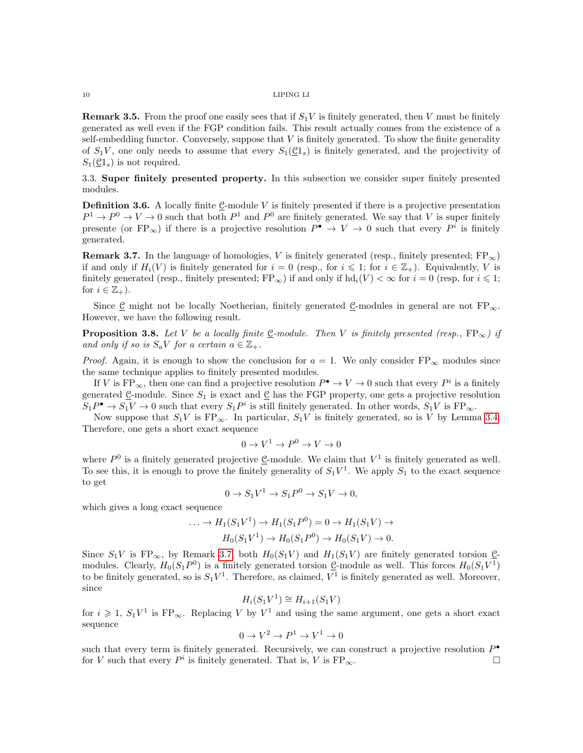**Remark 3.5.** From the proof one easily sees that if  $S_1V$  is finitely generated, then V must be finitely generated as well even if the FGP condition fails. This result actually comes from the existence of a self-embedding functor. Conversely, suppose that  $V$  is finitely generated. To show the finite generality of  $S_1V$ , one only needs to assume that every  $S_1(\mathcal{C}1_s)$  is finitely generated, and the projectivity of  $S_1(\underline{c}_1)$  is not required.

3.3. Super finitely presented property. In this subsection we consider super finitely presented modules.

**Definition 3.6.** A locally finite  $\underline{C}$ -module V is finitely presented if there is a projective presentation  $P^1 \to P^0 \to V \to 0$  such that both  $P^1$  and  $P^0$  are finitely generated. We say that V is super finitely presente (or FP<sub>∞</sub>) if there is a projective resolution  $P^{\bullet} \to V \to 0$  such that every  $P^i$  is finitely generated.

<span id="page-9-0"></span>**Remark 3.7.** In the language of homologies, V is finitely generated (resp., finitely presented;  $FP_{\infty}$ ) if and only if  $H_i(V)$  is finitely generated for  $i = 0$  (resp., for  $i \leq 1$ ; for  $i \in \mathbb{Z}_+$ ). Equivalently, V is finitely generated (resp., finitely presented;  $FP_{\infty}$ ) if and only if  $hd_i(V) < \infty$  for  $i = 0$  (resp, for  $i \leq 1$ ; for  $i \in \mathbb{Z}_+$ ).

Since C might not be locally Noetherian, finitely generated C-modules in general are not  $FP_{\infty}$ . However, we have the following result.

<span id="page-9-1"></span>**Proposition 3.8.** Let V be a locally finite C-module. Then V is finitely presented (resp.,  $\text{FP}_{\infty}$ ) if and only if so is  $S_aV$  for a certain  $a \in \mathbb{Z}_+$ .

*Proof.* Again, it is enough to show the conclusion for  $a = 1$ . We only consider FP<sub>∞</sub> modules since the same technique applies to finitely presented modules.

If V is  $\text{FP}_{\infty}$ , then one can find a projective resolution  $P^{\bullet} \to V \to 0$  such that every  $P^i$  is a finitely generated  $\underline{\mathcal{C}}$ -module. Since  $S_1$  is exact and  $\underline{\mathcal{C}}$  has the FGP property, one gets a projective resolution  $S_1P^{\bullet} \to S_1V \to 0$  such that every  $S_1P^i$  is still finitely generated. In other words,  $S_1V$  is  $FP_{\infty}$ .

Now suppose that  $S_1V$  is  $FP_\infty$ . In particular,  $S_1V$  is finitely generated, so is V by Lemma [3.4.](#page-8-3) Therefore, one gets a short exact sequence

$$
0 \to V^1 \to P^0 \to V \to 0
$$

where  $P^0$  is a finitely generated projective  $\underline{\mathcal{C}}$ -module. We claim that  $V^1$  is finitely generated as well. To see this, it is enough to prove the finitely generality of  $S_1V^1$ . We apply  $S_1$  to the exact sequence to get

$$
0 \to S_1V^1 \to S_1P^0 \to S_1V \to 0,
$$

which gives a long exact sequence

$$
\dots \to H_1(S_1V^1) \to H_1(S_1P^0) = 0 \to H_1(S_1V) \to
$$
  

$$
H_0(S_1V^1) \to H_0(S_1P^0) \to H_0(S_1V) \to 0.
$$

Since  $S_1V$  is  $FP_{\infty}$ , by Remark [3.7,](#page-9-0) both  $H_0(S_1V)$  and  $H_1(S_1V)$  are finitely generated torsion Cmodules. Clearly,  $H_0(S_1P^0)$  is a finitely generated torsion  $\underline{\mathcal{C}}$ -module as well. This forces  $H_0(S_1V^1)$ to be finitely generated, so is  $S_1V^1$ . Therefore, as claimed,  $V^1$  is finitely generated as well. Moreover, since

$$
H_i(S_1V^1) \cong H_{i+1}(S_1V)
$$

for  $i \geq 1$ ,  $S_1V^1$  is  $FP_{\infty}$ . Replacing V by  $V^1$  and using the same argument, one gets a short exact sequence

$$
0 \to V^2 \to P^1 \to V^1 \to 0
$$

such that every term is finitely generated. Recursively, we can construct a projective resolution  $P^{\bullet}$ for V such that every  $P^i$  is finitely generated. That is, V is  $\text{FP}_{\infty}$ .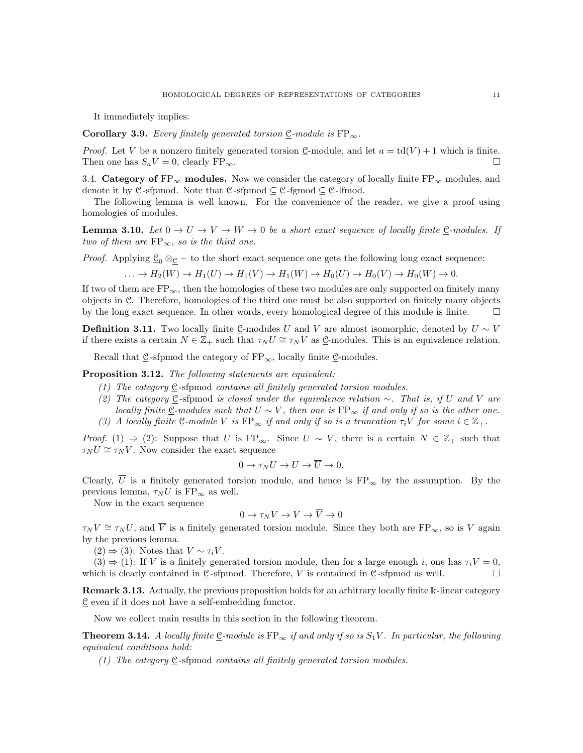It immediately implies:

<span id="page-10-1"></span>Corollary 3.9. Every finitely generated torsion  $C$ -module is  $FP_{\infty}$ .

*Proof.* Let V be a nonzero finitely generated torsion  $\underline{C}$ -module, and let  $a = \text{td}(V) + 1$  which is finite. Then one has  $S_a V = 0$ , clearly  $FP_\infty$ .

3.4. Category of FP<sub>∞</sub> modules. Now we consider the category of locally finite FP<sub>∞</sub> modules, and denote it by  $\underline{\mathcal{C}}$ -sfpmod. Note that  $\underline{\mathcal{C}}$ -sfpmod  $\underline{\mathcal{C}}$  -fgmod  $\underline{\mathcal{C}}$  -lfmod.

The following lemma is well known. For the convenience of the reader, we give a proof using homologies of modules.

**Lemma 3.10.** Let  $0 \to U \to V \to W \to 0$  be a short exact sequence of locally finite  $C$ -modules. If two of them are  $FP_{\infty}$ , so is the third one.

*Proof.* Applying  $\underline{\mathcal{C}}_0 \otimes_{\mathcal{C}} -$  to the short exact sequence one gets the following long exact sequence:

$$
\ldots \to H_2(W) \to H_1(U) \to H_1(V) \to H_1(W) \to H_0(U) \to H_0(V) \to H_0(W) \to 0.
$$

If two of them are  $FP_{\infty}$ , then the homologies of these two modules are only supported on finitely many objects in C. Therefore, homologies of the third one must be also supported on finitely many objects by the long exact sequence. In other words, every homological degree of this module is finite.  $\Box$ 

<span id="page-10-0"></span>**Definition 3.11.** Two locally finite C-modules U and V are almost isomorphic, denoted by  $U \sim V$ if there exists a certain  $N \in \mathbb{Z}_+$  such that  $\tau_N U \cong \tau_N V$  as C-modules. This is an equivalence relation.

Recall that  $C$ -sfpmod the category of  $FP_{\infty}$ , locally finite  $C$ -modules.

<span id="page-10-2"></span>Proposition 3.12. The following statements are equivalent:

- (1) The category C -sfpmod contains all finitely generated torsion modules.
- (2) The category C-sfpmod is closed under the equivalence relation  $\sim$ . That is, if U and V are locally finite  $C$ -modules such that  $U \sim V$ , then one is  $FP_{\infty}$  if and only if so is the other one.
- (3) A locally finite C-module V is  $FP_{\infty}$  if and only if so is a truncation  $\tau_iV$  for some  $i \in \mathbb{Z}_+$ .

*Proof.* (1)  $\Rightarrow$  (2): Suppose that U is FP<sub>∞</sub>. Since U ~ V, there is a certain N  $\in \mathbb{Z}_+$  such that  $\tau_N U \cong \tau_N V$ . Now consider the exact sequence

$$
0 \to \tau_N U \to U \to \overline{U} \to 0.
$$

Clearly,  $\overline{U}$  is a finitely generated torsion module, and hence is  $FP_{\infty}$  by the assumption. By the previous lemma,  $\tau_N U$  is  $\text{FP}_{\infty}$  as well.

Now in the exact sequence

$$
0 \to \tau_N V \to V \to \overline{V} \to 0
$$

 $\tau_N V \cong \tau_N U$ , and  $\overline{V}$  is a finitely generated torsion module. Since they both are FP<sub>∞</sub>, so is V again by the previous lemma.

 $(2) \Rightarrow (3)$ : Notes that  $V \sim \tau_i V$ .

 $(3) \Rightarrow (1)$ : If V is a finitely generated torsion module, then for a large enough i, one has  $\tau_iV = 0$ , which is clearly contained in C-sfpmod. Therefore, V is contained in C-sfpmod as well.  $\Box$ 

Remark 3.13. Actually, the previous proposition holds for an arbitrary locally finite k-linear category C even if it does not have a self-embedding functor.

Now we collect main results in this section in the following theorem.

**Theorem 3.14.** A locally finite  $\underline{C}$ -module is  $FP_{\infty}$  if and only if so is  $S_1V$ . In particular, the following equivalent conditions hold:

(1) The category C -sfpmod contains all finitely generated torsion modules.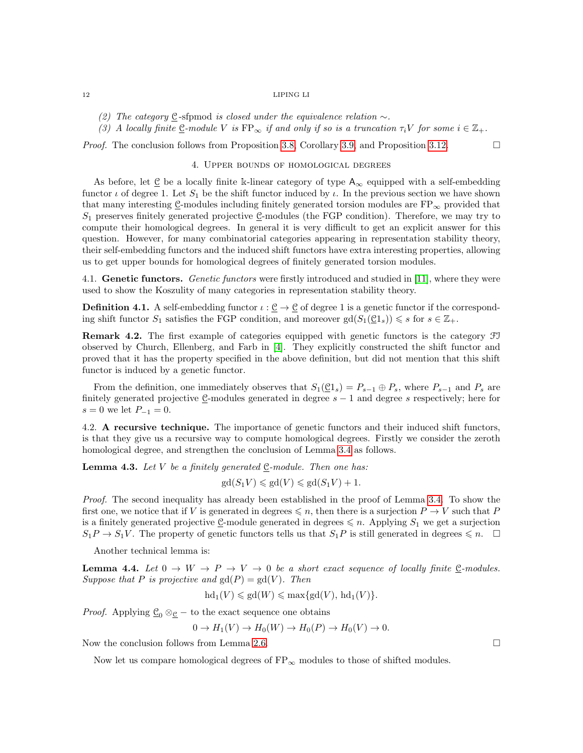- (2) The category  $C$ -sformod is closed under the equivalence relation  $\sim$ .
- (3) A locally finite  $\underline{C}$ -module V is  $FP_{\infty}$  if and only if so is a truncation  $\tau_iV$  for some  $i \in \mathbb{Z}_+$ .

<span id="page-11-0"></span>*Proof.* The conclusion follows from Proposition [3.8,](#page-9-1) Corollary [3.9,](#page-10-1) and Proposition [3.12.](#page-10-2)

#### 4. Upper bounds of homological degrees

As before, let  $\underline{C}$  be a locally finite k-linear category of type  $A_{\infty}$  equipped with a self-embedding functor  $\iota$  of degree 1. Let  $S_1$  be the shift functor induced by  $\iota$ . In the previous section we have shown that many interesting C-modules including finitely generated torsion modules are  $FP_{\infty}$  provided that  $S_1$  preserves finitely generated projective C-modules (the FGP condition). Therefore, we may try to compute their homological degrees. In general it is very difficult to get an explicit answer for this question. However, for many combinatorial categories appearing in representation stability theory, their self-embedding functors and the induced shift functors have extra interesting properties, allowing us to get upper bounds for homological degrees of finitely generated torsion modules.

4.1. Genetic functors. Genetic functors were firstly introduced and studied in [\[11\]](#page-20-6), where they were used to show the Koszulity of many categories in representation stability theory.

<span id="page-11-1"></span>**Definition 4.1.** A self-embedding functor  $\iota : \underline{\mathcal{C}} \to \underline{\mathcal{C}}$  of degree 1 is a genetic functor if the corresponding shift functor  $S_1$  satisfies the FGP condition, and moreover  $gd(S_1(\mathcal{C}1_s)) \leq s$  for  $s \in \mathbb{Z}_+$ .

Remark 4.2. The first example of categories equipped with genetic functors is the category FI observed by Church, Ellenberg, and Farb in [\[4\]](#page-20-2). They explicitly constructed the shift functor and proved that it has the property specified in the above definition, but did not mention that this shift functor is induced by a genetic functor.

From the definition, one immediately observes that  $S_1(\mathcal{C}1_s) = P_{s-1} \oplus P_s$ , where  $P_{s-1}$  and  $P_s$  are finitely generated projective C-modules generated in degree  $s - 1$  and degree s respectively; here for  $s = 0$  we let  $P_{-1} = 0$ .

4.2. A recursive technique. The importance of genetic functors and their induced shift functors, is that they give us a recursive way to compute homological degrees. Firstly we consider the zeroth homological degree, and strengthen the conclusion of Lemma [3.4](#page-8-3) as follows.

<span id="page-11-2"></span>**Lemma 4.3.** Let V be a finitely generated  $C$ -module. Then one has:

$$
\mathrm{gd}(S_1V) \leqslant \mathrm{gd}(V) \leqslant \mathrm{gd}(S_1V) + 1.
$$

Proof. The second inequality has already been established in the proof of Lemma [3.4.](#page-8-3) To show the first one, we notice that if V is generated in degrees  $\leq n$ , then there is a surjection  $P \to V$  such that P is a finitely generated projective  $\underline{\mathcal{C}}$ -module generated in degrees  $\leq n$ . Applying  $S_1$  we get a surjection  $S_1P \to S_1V$ . The property of genetic functors tells us that  $S_1P$  is still generated in degrees  $\leq n$ .  $\Box$ 

Another technical lemma is:

**Lemma 4.4.** Let  $0 \to W \to P \to V \to 0$  be a short exact sequence of locally finite C-modules. Suppose that P is projective and  $gd(P) = gd(V)$ . Then

$$
hd_1(V) \leqslant gd(W) \leqslant max\{gd(V), hd_1(V)\}.
$$

*Proof.* Applying  $\underline{\mathcal{C}}_0 \otimes_{\underline{\mathcal{C}}} -$  to the exact sequence one obtains

$$
0 \to H_1(V) \to H_0(W) \to H_0(P) \to H_0(V) \to 0.
$$

Now the conclusion follows from Lemma [2.6.](#page-6-1)

Now let us compare homological degrees of  $FP_{\infty}$  modules to those of shifted modules.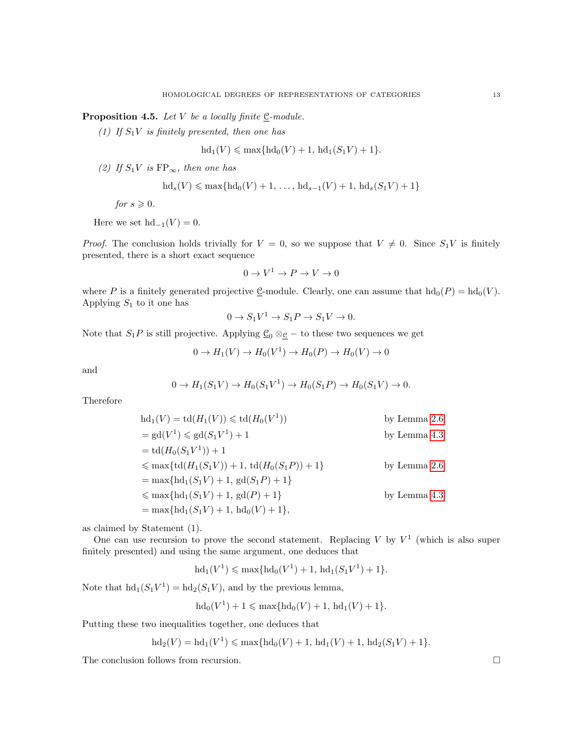<span id="page-12-0"></span>**Proposition 4.5.** Let V be a locally finite  $\underline{e}$ -module.

(1) If  $S_1V$  is finitely presented, then one has

$$
hd_1(V) \leq \max\{hd_0(V) + 1, hd_1(S_1V) + 1\}.
$$

(2) If  $S_1V$  is  $FP_{\infty}$ , then one has

$$
hd_s(V) \le max\{hd_0(V) + 1, ..., hd_{s-1}(V) + 1, hd_s(S_1V) + 1\}
$$

for  $s \geqslant 0$ .

Here we set  $hd_{-1}(V) = 0$ .

*Proof.* The conclusion holds trivially for  $V = 0$ , so we suppose that  $V \neq 0$ . Since  $S_1V$  is finitely presented, there is a short exact sequence

$$
0 \to V^1 \to P \to V \to 0
$$

where P is a finitely generated projective C-module. Clearly, one can assume that  $hd_0(P) = hd_0(V)$ . Applying  $S_1$  to it one has

$$
0 \to S_1 V^1 \to S_1 P \to S_1 V \to 0.
$$

Note that  $S_1P$  is still projective. Applying  $\underline{\mathcal{C}}_0 \otimes_{\underline{\mathcal{C}}} -$  to these two sequences we get

$$
0 \to H_1(V) \to H_0(V^1) \to H_0(P) \to H_0(V) \to 0
$$

and

$$
0 \to H_1(S_1V) \to H_0(S_1V^1) \to H_0(S_1P) \to H_0(S_1V) \to 0.
$$

Therefore

$$
hd_1(V) = td(H_1(V)) \le td(H_0(V^1))
$$
 by Lemma 2.6  
\n
$$
= gd(V^1) \le gd(S_1V^1) + 1
$$
 by Lemma 4.3  
\n
$$
= td(H_0(S_1V^1)) + 1
$$
  
\n
$$
\le max\{td(H_1(S_1V)) + 1, td(H_0(S_1P)) + 1\}
$$
 by Lemma 2.6  
\n
$$
= max\{hd_1(S_1V) + 1, gd(S_1P) + 1\}
$$
 by Lemma 4.3  
\n
$$
= max\{hd_1(S_1V) + 1, bd_0(V) + 1\},
$$
 by Lemma 4.3

as claimed by Statement (1).

One can use recursion to prove the second statement. Replacing V by  $V^1$  (which is also super finitely presented) and using the same argument, one deduces that

 $hd_1(V^1) \leqslant max\{hd_0(V^1) + 1, hd_1(S_1V^1) + 1\}.$ 

Note that  $\text{hd}_{1}(S_{1}V^{1}) = \text{hd}_{2}(S_{1}V)$ , and by the previous lemma,

$$
hd_0(V^1) + 1 \leqslant max\{hd_0(V) + 1, hd_1(V) + 1\}.
$$

Putting these two inequalities together, one deduces that

$$
hd_2(V) = hd_1(V^1) \leqslant max\{hd_0(V) + 1, hd_1(V) + 1, hd_2(S_1V) + 1\}.
$$

The conclusion follows from recursion.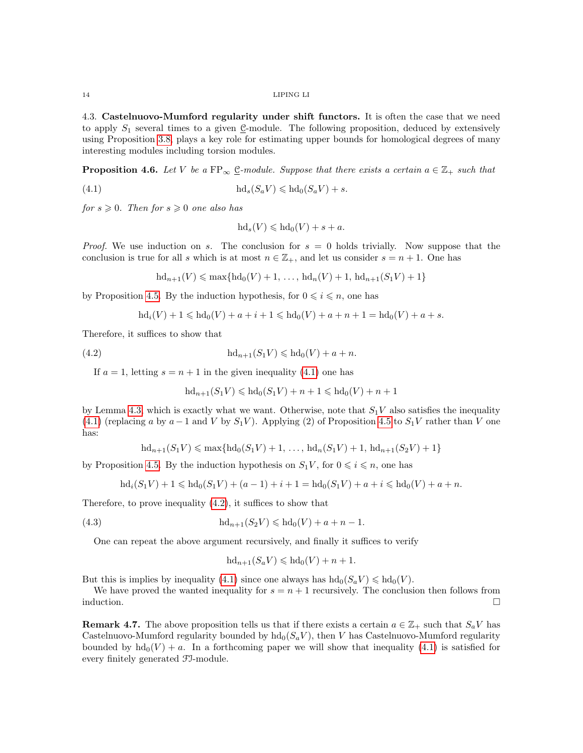4.3. Castelnuovo-Mumford regularity under shift functors. It is often the case that we need to apply  $S_1$  several times to a given  $\underline{\mathcal{C}}$ -module. The following proposition, deduced by extensively using Proposition [3.8,](#page-9-1) plays a key role for estimating upper bounds for homological degrees of many interesting modules including torsion modules.

**Proposition 4.6.** Let V be a FP<sub>∞</sub>  $\underline{C}$ -module. Suppose that there exists a certain  $a \in \mathbb{Z}_+$  such that

(4.1) 
$$
\mathrm{hd}_s(S_a V) \leqslant \mathrm{hd}_0(S_a V) + s.
$$

for  $s \geqslant 0$ . Then for  $s \geqslant 0$  one also has

<span id="page-13-0"></span>
$$
hd_s(V) \leqslant hd_0(V) + s + a.
$$

*Proof.* We use induction on s. The conclusion for  $s = 0$  holds trivially. Now suppose that the conclusion is true for all s which is at most  $n \in \mathbb{Z}_+$ , and let us consider  $s = n + 1$ . One has

$$
hd_{n+1}(V) \leqslant max\{hd_0(V) + 1, \ldots, hd_n(V) + 1, hd_{n+1}(S_1V) + 1\}
$$

by Proposition [4.5.](#page-12-0) By the induction hypothesis, for  $0 \leq i \leq n$ , one has

$$
hd_i(V) + 1 \leqslant hd_0(V) + a + i + 1 \leqslant hd_0(V) + a + n + 1 = hd_0(V) + a + s.
$$

Therefore, it suffices to show that

(4.2) 
$$
\mathrm{hd}_{n+1}(S_1V)\leqslant \mathrm{hd}_0(V)+a+n.
$$

If  $a = 1$ , letting  $s = n + 1$  in the given inequality [\(4.1\)](#page-13-0) one has

<span id="page-13-1"></span>
$$
hd_{n+1}(S_1V) \leqslant hd_0(S_1V) + n + 1 \leqslant hd_0(V) + n + 1
$$

by Lemma [4.3,](#page-11-2) which is exactly what we want. Otherwise, note that  $S_1V$  also satisfies the inequality [\(4.1\)](#page-13-0) (replacing a by  $a-1$  and V by  $S_1V$ ). Applying (2) of Proposition [4.5](#page-12-0) to  $S_1V$  rather than V one has:

$$
hd_{n+1}(S_1V) \leqslant max\{hd_0(S_1V) + 1, \ldots, hd_n(S_1V) + 1, hd_{n+1}(S_2V) + 1\}
$$

by Proposition [4.5.](#page-12-0) By the induction hypothesis on  $S_1V$ , for  $0 \le i \le n$ , one has

$$
hd_i(S_1V) + 1 \leqslant hd_0(S_1V) + (a-1) + i + 1 = hd_0(S_1V) + a + i \leqslant hd_0(V) + a + n.
$$

Therefore, to prove inequality [\(4.2\)](#page-13-1), it suffices to show that

(4.3) 
$$
\mathrm{hd}_{n+1}(S_2 V) \leq \mathrm{hd}_0(V) + a + n - 1.
$$

One can repeat the above argument recursively, and finally it suffices to verify

$$
hd_{n+1}(S_a V) \leqslant hd_0(V) + n + 1.
$$

But this is implies by inequality [\(4.1\)](#page-13-0) since one always has  $hd_0(S_aV) \leq dd_0(V)$ .

We have proved the wanted inequality for  $s = n + 1$  recursively. The conclusion then follows from induction.  $\Box$ 

**Remark 4.7.** The above proposition tells us that if there exists a certain  $a \in \mathbb{Z}_+$  such that  $S_a V$  has Castelnuovo-Mumford regularity bounded by  $hd_0(S_aV)$ , then V has Castelnuovo-Mumford regularity bounded by  $hd_0(V) + a$ . In a forthcoming paper we will show that inequality [\(4.1\)](#page-13-0) is satisfied for every finitely generated FI-module.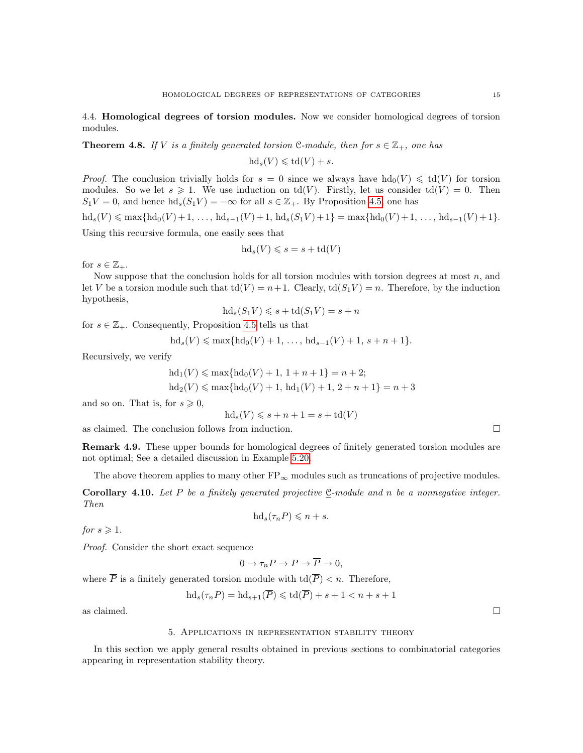4.4. Homological degrees of torsion modules. Now we consider homological degrees of torsion modules.

<span id="page-14-1"></span>**Theorem 4.8.** If V is a finitely generated torsion C-module, then for  $s \in \mathbb{Z}_+$ , one has

$$
\mathrm{hd}_s(V) \leqslant \mathrm{td}(V) + s.
$$

*Proof.* The conclusion trivially holds for  $s = 0$  since we always have  $hd_0(V) \leq d(V)$  for torsion modules. So we let  $s \geq 1$ . We use induction on  $td(V)$ . Firstly, let us consider  $td(V) = 0$ . Then  $S_1V = 0$ , and hence  $\text{hd}_s(S_1V) = -\infty$  for all  $s \in \mathbb{Z}_+$ . By Proposition [4.5,](#page-12-0) one has

 $hd_s(V) \leq \max\{hd_0(V) + 1, \ldots, hd_{s-1}(V) + 1, hd_s(S_1V) + 1\} = \max\{hd_0(V) + 1, \ldots, hd_{s-1}(V) + 1\}.$ Using this recursive formula, one easily sees that

$$
\mathrm{hd}_s(V) \leqslant s = s + \mathrm{td}(V)
$$

for  $s \in \mathbb{Z}_+$ .

Now suppose that the conclusion holds for all torsion modules with torsion degrees at most  $n$ , and let V be a torsion module such that  $td(V) = n+1$ . Clearly,  $td(S_1V) = n$ . Therefore, by the induction hypothesis,

$$
hd_s(S_1V) \leqslant s + td(S_1V) = s + n
$$

for  $s \in \mathbb{Z}_+$ . Consequently, Proposition [4.5](#page-12-0) tells us that

$$
hd_s(V) \leqslant max\{hd_0(V) + 1, \ldots, hd_{s-1}(V) + 1, s + n + 1\}.
$$

Recursively, we verify

$$
hd_1(V) \le \max\{hd_0(V) + 1, 1 + n + 1\} = n + 2;
$$
  

$$
hd_2(V) \le \max\{hd_0(V) + 1, bd_1(V) + 1, 2 + n + 1\} = n + 3
$$

and so on. That is, for  $s \geq 0$ ,

$$
hd_s(V) \leqslant s + n + 1 = s + td(V)
$$

as claimed. The conclusion follows from induction.  $\Box$ 

Remark 4.9. These upper bounds for homological degrees of finitely generated torsion modules are not optimal; See a detailed discussion in Example [5.20.](#page-20-12)

The above theorem applies to many other  $FP_{\infty}$  modules such as truncations of projective modules.

**Corollary 4.10.** Let P be a finitely generated projective C-module and n be a nonnegative integer. Then

$$
hd_s(\tau_n P) \leqslant n + s.
$$

for  $s \geqslant 1$ .

Proof. Consider the short exact sequence

$$
0 \to \tau_n P \to P \to \overline{P} \to 0,
$$

where  $\overline{P}$  is a finitely generated torsion module with  $\text{td}(\overline{P}) < n$ . Therefore,

$$
\mathrm{hd}_s(\tau_n P) = \mathrm{hd}_{s+1}(\overline{P}) \leqslant \mathrm{td}(\overline{P}) + s + 1 < n + s + 1
$$

<span id="page-14-0"></span>as claimed.  $\Box$ 

#### 5. Applications in representation stability theory

In this section we apply general results obtained in previous sections to combinatorial categories appearing in representation stability theory.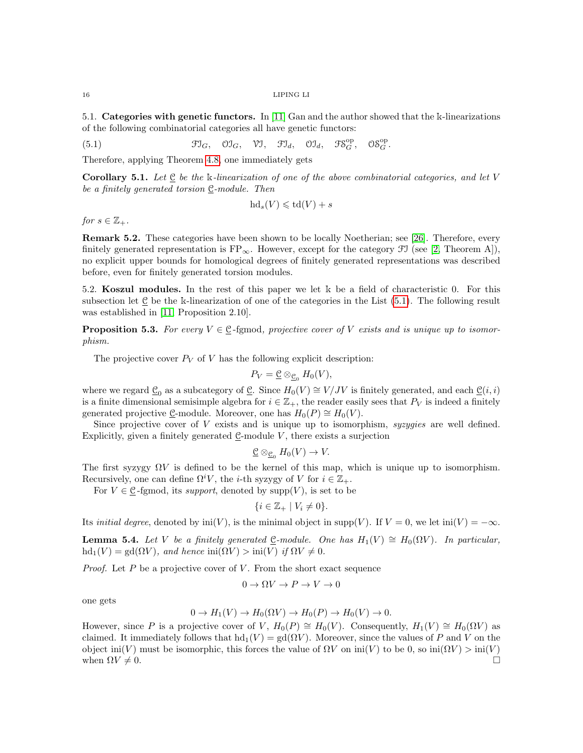5.1. Categories with genetic functors. In [\[11\]](#page-20-6) Gan and the author showed that the k-linearizations of the following combinatorial categories all have genetic functors:

(5.1)  $\mathfrak{Fl}_G, \mathfrak{OI}_G, \mathfrak{VI}, \mathfrak{Fl}_d, \mathfrak{OI}_d, \mathfrak{FS}_G^{\mathrm{op}}, \mathfrak{OS}_G^{\mathrm{op}}.$ 

Therefore, applying Theorem [4.8,](#page-14-1) one immediately gets

<span id="page-15-1"></span>**Corollary 5.1.** Let  $\underline{\mathcal{C}}$  be the k-linearization of one of the above combinatorial categories, and let V be a finitely generated torsion  $C$ -module. Then

<span id="page-15-0"></span>
$$
hd_s(V) \leqslant td(V) + s
$$

for  $s \in \mathbb{Z}_+$ .

Remark 5.2. These categories have been shown to be locally Noetherian; see [\[26\]](#page-21-3). Therefore, every finitely generated representation is  $FP_{\infty}$ . However, except for the category  $\mathcal{F}I$  (see [\[2,](#page-20-0) Theorem A]), no explicit upper bounds for homological degrees of finitely generated representations was described before, even for finitely generated torsion modules.

5.2. Koszul modules. In the rest of this paper we let k be a field of characteristic 0. For this subsection let C be the k-linearization of one of the categories in the List [\(5.1\)](#page-15-0). The following result was established in [\[11,](#page-20-6) Proposition 2.10].

**Proposition 5.3.** For every  $V \in \mathcal{C}$ -fgmod, projective cover of V exists and is unique up to isomorphism.

The projective cover  $P_V$  of V has the following explicit description:

$$
P_V = \underline{\mathcal{C}} \otimes_{\underline{\mathcal{C}}_0} H_0(V),
$$

where we regard  $\underline{\mathcal{C}}_0$  as a subcategory of  $\underline{\mathcal{C}}$ . Since  $H_0(V) \cong V/JV$  is finitely generated, and each  $\underline{\mathcal{C}}(i, i)$ is a finite dimensional semisimple algebra for  $i \in \mathbb{Z}_+$ , the reader easily sees that  $P_V$  is indeed a finitely generated projective  $\mathcal{C}$ -module. Moreover, one has  $H_0(P) \cong H_0(V)$ .

Since projective cover of  $V$  exists and is unique up to isomorphism, syzygies are well defined. Explicitly, given a finitely generated  $C$ -module  $V$ , there exists a surjection

$$
\underline{\mathcal{C}} \otimes_{\underline{\mathcal{C}}_0} H_0(V) \to V.
$$

The first syzygy  $\Omega V$  is defined to be the kernel of this map, which is unique up to isomorphism. Recursively, one can define  $\Omega^i V$ , the *i*-th syzygy of V for  $i \in \mathbb{Z}_+$ .

For  $V \in \mathcal{C}$ -fgmod, its support, denoted by supp $(V)$ , is set to be

$$
\{i\in\mathbb{Z}_+ \mid V_i\neq 0\}.
$$

Its *initial degree*, denoted by  $\text{ini}(V)$ , is the minimal object in supp(V). If  $V = 0$ , we let  $\text{ini}(V) = -\infty$ .

<span id="page-15-2"></span>**Lemma 5.4.** Let V be a finitely generated C-module. One has  $H_1(V) \cong H_0(\Omega V)$ . In particular,  $hd_1(V) = gd(\Omega V)$ , and hence  $ini(\Omega V) > ini(V)$  if  $\Omega V \neq 0$ .

*Proof.* Let  $P$  be a projective cover of  $V$ . From the short exact sequence

$$
0 \to \Omega V \to P \to V \to 0
$$

one gets

$$
0 \to H_1(V) \to H_0(\Omega V) \to H_0(P) \to H_0(V) \to 0.
$$

However, since P is a projective cover of V,  $H_0(P) \cong H_0(V)$ . Consequently,  $H_1(V) \cong H_0(\Omega V)$  as claimed. It immediately follows that  $hd_1(V) = gd(\Omega V)$ . Moreover, since the values of P and V on the object ini(V) must be isomorphic, this forces the value of  $\Omega V$  on  $\text{ini}(V)$  to be 0, so  $\text{ini}(\Omega V) > \text{ini}(V)$ when  $\Omega V \neq 0$ .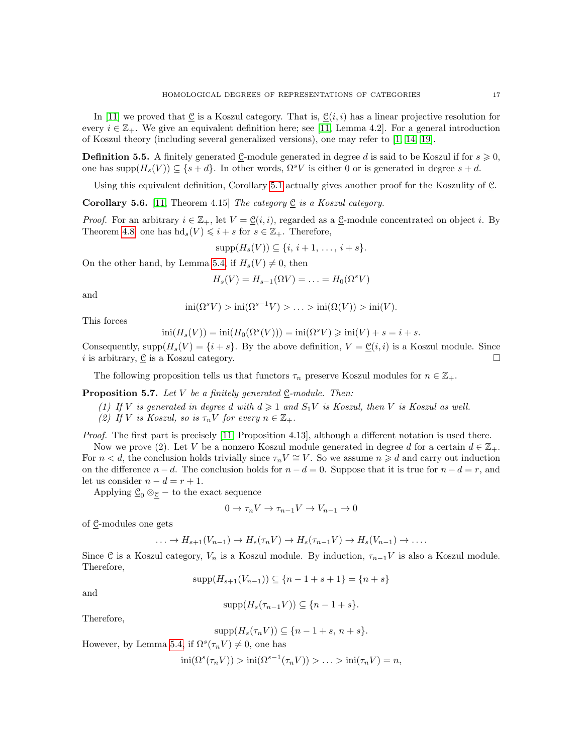In [\[11\]](#page-20-6) we proved that  $C$  is a Koszul category. That is,  $C(i, i)$  has a linear projective resolution for every  $i \in \mathbb{Z}_+$ . We give an equivalent definition here; see [\[11,](#page-20-6) Lemma 4.2]. For a general introduction of Koszul theory (including several generalized versions), one may refer to [\[1,](#page-20-18) [14,](#page-20-19) [19\]](#page-21-8).

**Definition 5.5.** A finitely generated C-module generated in degree d is said to be Koszul if for  $s \ge 0$ , one has supp $(H_s(V)) \subseteq \{s + d\}$ . In other words,  $\Omega^s V$  is either 0 or is generated in degree  $s + d$ .

Using this equivalent definition, Corollary [5.1](#page-15-1) actually gives another proof for the Koszulity of C.

**Corollary 5.6.** [\[11,](#page-20-6) Theorem 4.15] The category  $\underline{e}$  is a Koszul category.

*Proof.* For an arbitrary  $i \in \mathbb{Z}_+$ , let  $V = \mathcal{Q}(i, i)$ , regarded as a C-module concentrated on object i. By Theorem [4.8,](#page-14-1) one has  $\mathrm{hd}_s(V) \leq i + s$  for  $s \in \mathbb{Z}_+$ . Therefore,

 $\text{supp}(H_*(V)) \subset \{i, i+1, \ldots, i+s\}.$ 

On the other hand, by Lemma [5.4,](#page-15-2) if  $H_s(V) \neq 0$ , then

$$
H_s(V) = H_{s-1}(\Omega V) = \ldots = H_0(\Omega^s V)
$$

and

$$
\operatorname{ini}(\Omega^s V) > \operatorname{ini}(\Omega^{s-1} V) > \ldots > \operatorname{ini}(\Omega(V)) > \operatorname{ini}(V).
$$

This forces

 $\text{ini}(H_s(V)) = \text{ini}(H_0(\Omega^s(V))) = \text{ini}(\Omega^s V) \geqslant \text{ini}(V) + s = i + s.$ 

Consequently,  $\text{supp}(H_s(V) = \{i + s\}$ . By the above definition,  $V = \mathcal{C}(i, i)$  is a Koszul module. Since i is arbitrary,  $\mathcal C$  is a Koszul category.

The following proposition tells us that functors  $\tau_n$  preserve Koszul modules for  $n \in \mathbb{Z}_+$ .

<span id="page-16-0"></span>**Proposition 5.7.** Let V be a finitely generated  $\underline{C}$ -module. Then:

(1) If V is generated in degree d with  $d \geq 1$  and  $S_1V$  is Koszul, then V is Koszul as well.

(2) If V is Koszul, so is  $\tau_n V$  for every  $n \in \mathbb{Z}_+$ .

Proof. The first part is precisely [\[11,](#page-20-6) Proposition 4.13], although a different notation is used there.

Now we prove (2). Let V be a nonzero Koszul module generated in degree d for a certain  $d \in \mathbb{Z}_+$ . For  $n < d$ , the conclusion holds trivially since  $\tau_n V \cong V$ . So we assume  $n \geq d$  and carry out induction on the difference  $n - d$ . The conclusion holds for  $n - d = 0$ . Suppose that it is true for  $n - d = r$ , and let us consider  $n - d = r + 1$ .

Applying  $\underline{\mathcal{C}}_0 \otimes_{\mathcal{C}} -$  to the exact sequence

$$
0 \to \tau_n V \to \tau_{n-1} V \to V_{n-1} \to 0
$$

of C-modules one gets

$$
\ldots \to H_{s+1}(V_{n-1}) \to H_s(\tau_n V) \to H_s(\tau_{n-1} V) \to H_s(V_{n-1}) \to \ldots
$$

Since  $\underline{\mathcal{C}}$  is a Koszul category,  $V_n$  is a Koszul module. By induction,  $\tau_{n-1}V$  is also a Koszul module. Therefore,

$$
supp(H_{s+1}(V_{n-1})) \subseteq \{n-1+s+1\} = \{n+s\}
$$

and

$$
\mathrm{supp}(H_s(\tau_{n-1}V)) \subseteq \{n-1+s\}.
$$

Therefore,

$$
supp(H_s(\tau_n V)) \subseteq \{n-1+s, n+s\}.
$$

However, by Lemma [5.4,](#page-15-2) if  $\Omega^s(\tau_n V) \neq 0$ , one has

 $\text{ini}(\Omega^s(\tau_n V)) > \text{ini}(\Omega^{s-1}(\tau_n V)) > \ldots > \text{ini}(\tau_n V) = n,$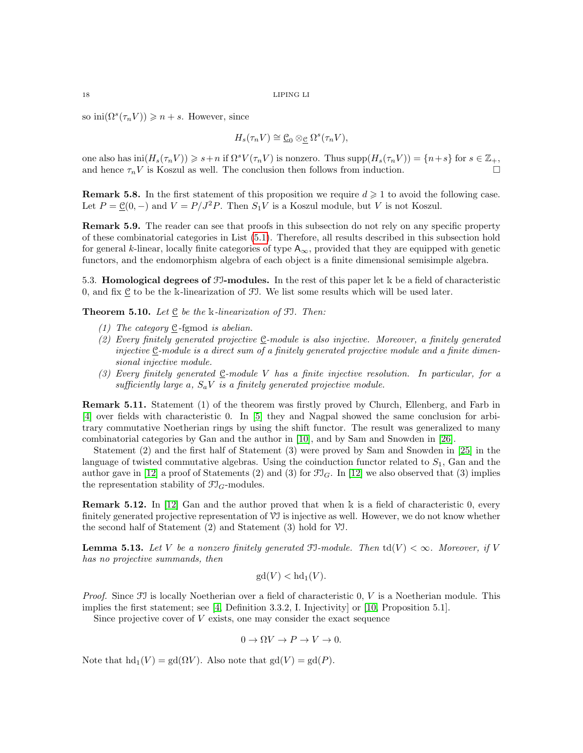so  $\text{ini}(\Omega^s(\tau_n V)) \geqslant n + s$ . However, since

$$
H_s(\tau_n V) \cong \underline{\mathcal{C}}_0 \otimes_{\underline{\mathcal{C}}} \Omega^s(\tau_n V),
$$

one also has  $\text{ini}(H_s(\tau_n V)) \geq s+n$  if  $\Omega^s V(\tau_n V)$  is nonzero. Thus  $\text{supp}(H_s(\tau_n V)) = \{n+s\}$  for  $s \in \mathbb{Z}_+$ , and hence  $\tau_n V$  is Koszul as well. The conclusion then follows from induction.

**Remark 5.8.** In the first statement of this proposition we require  $d \geq 1$  to avoid the following case. Let  $P = \mathcal{C}(0, -)$  and  $V = P/J^2P$ . Then  $S_1V$  is a Koszul module, but V is not Koszul.

Remark 5.9. The reader can see that proofs in this subsection do not rely on any specific property of these combinatorial categories in List [\(5.1\)](#page-15-0). Therefore, all results described in this subsection hold for general k-linear, locally finite categories of type  $A_{\infty}$ , provided that they are equipped with genetic functors, and the endomorphism algebra of each object is a finite dimensional semisimple algebra.

5.3. **Homological degrees of**  $\mathcal{F}$ **-modules.** In the rest of this paper let k be a field of characteristic 0, and fix C to be the k-linearization of FI. We list some results which will be used later.

**Theorem 5.10.** Let  $\underline{e}$  be the k-linearization of FI. Then:

- (1) The category  $C$ -fgmod is abelian.
- (2) Every finitely generated projective C-module is also injective. Moreover, a finitely generated injective  $C$ -module is a direct sum of a finitely generated projective module and a finite dimensional injective module.
- (3) Every finitely generated  $\underline{C}$ -module V has a finite injective resolution. In particular, for a sufficiently large a,  $S_a V$  is a finitely generated projective module.

Remark 5.11. Statement (1) of the theorem was firstly proved by Church, Ellenberg, and Farb in [\[4\]](#page-20-2) over fields with characteristic 0. In [\[5\]](#page-20-3) they and Nagpal showed the same conclusion for arbitrary commutative Noetherian rings by using the shift functor. The result was generalized to many combinatorial categories by Gan and the author in [\[10\]](#page-20-7), and by Sam and Snowden in [\[26\]](#page-21-3).

Statement (2) and the first half of Statement (3) were proved by Sam and Snowden in [\[25\]](#page-21-2) in the language of twisted commutative algebras. Using the coinduction functor related to  $S_1$ , Gan and the author gave in [\[12\]](#page-20-8) a proof of Statements (2) and (3) for  $\mathfrak{I}_G$ . In [12] we also observed that (3) implies the representation stability of  $\mathfrak{Fl}_G$ -modules.

Remark 5.12. In [\[12\]](#page-20-8) Gan and the author proved that when k is a field of characteristic 0, every finitely generated projective representation of VI is injective as well. However, we do not know whether the second half of Statement (2) and Statement (3) hold for VI.

<span id="page-17-0"></span>**Lemma 5.13.** Let V be a nonzero finitely generated  $\mathfrak{F}$ -module. Then  $td(V) < \infty$ . Moreover, if V has no projective summands, then

$$
\gcd(V) < \mathrm{hd}_1(V).
$$

*Proof.* Since  $\mathcal{F}$  is locally Noetherian over a field of characteristic 0, V is a Noetherian module. This implies the first statement; see [\[4,](#page-20-2) Definition 3.3.2, I. Injectivity] or [\[10,](#page-20-7) Proposition 5.1].

Since projective cover of  $V$  exists, one may consider the exact sequence

$$
0 \to \Omega V \to P \to V \to 0.
$$

Note that  $hd_1(V) = gd(\Omega V)$ . Also note that  $gd(V) = gd(P)$ .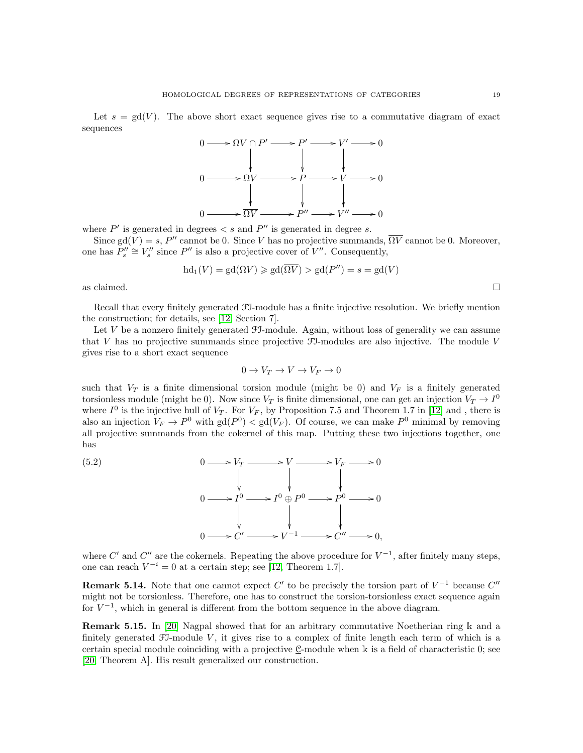Let  $s = \text{gd}(V)$ . The above short exact sequence gives rise to a commutative diagram of exact sequences



where  $P'$  is generated in degrees  $\lt s$  and  $P''$  is generated in degree s.

Since gd(V) = s, P'' cannot be 0. Since V has no projective summands,  $\overline{\Omega V}$  cannot be 0. Moreover, one has  $P_s'' \cong V_s''$  since  $P''$  is also a projective cover of  $V''$ . Consequently,

$$
hd_1(V) = gd(\Omega V) \geq gd(\overline{\Omega V}) > gd(P'') = s = gd(V)
$$

as claimed.  $\Box$ 

Recall that every finitely generated FI-module has a finite injective resolution. We briefly mention the construction; for details, see [\[12,](#page-20-8) Section 7].

Let  $V$  be a nonzero finitely generated  $J$ -module. Again, without loss of generality we can assume that V has no projective summands since projective  $\mathcal{F}$ -modules are also injective. The module V gives rise to a short exact sequence

<span id="page-18-0"></span>
$$
0 \to V_T \to V \to V_F \to 0
$$

such that  $V_T$  is a finite dimensional torsion module (might be 0) and  $V_F$  is a finitely generated torsionless module (might be 0). Now since  $V_T$  is finite dimensional, one can get an injection  $V_T \to I^0$ where  $I^0$  is the injective hull of  $V_T$ . For  $V_F$ , by Proposition 7.5 and Theorem 1.7 in [\[12\]](#page-20-8) and, there is also an injection  $V_F \to P^0$  with  $gd(P^0) < gd(V_F)$ . Of course, we can make  $P^0$  minimal by removing all projective summands from the cokernel of this map. Putting these two injections together, one has



where C' and C'' are the cokernels. Repeating the above procedure for  $V^{-1}$ , after finitely many steps, one can reach  $V^{-i} = 0$  at a certain step; see [\[12,](#page-20-8) Theorem 1.7].

**Remark 5.14.** Note that one cannot expect C' to be precisely the torsion part of  $V^{-1}$  because C'' might not be torsionless. Therefore, one has to construct the torsion-torsionless exact sequence again for  $V^{-1}$ , which in general is different from the bottom sequence in the above diagram.

Remark 5.15. In [\[20\]](#page-21-0) Nagpal showed that for an arbitrary commutative Noetherian ring k and a finitely generated  $\mathfrak{F}$ -module V, it gives rise to a complex of finite length each term of which is a certain special module coinciding with a projective  $C$ -module when k is a field of characteristic  $0$ ; see [\[20,](#page-21-0) Theorem A]. His result generalized our construction.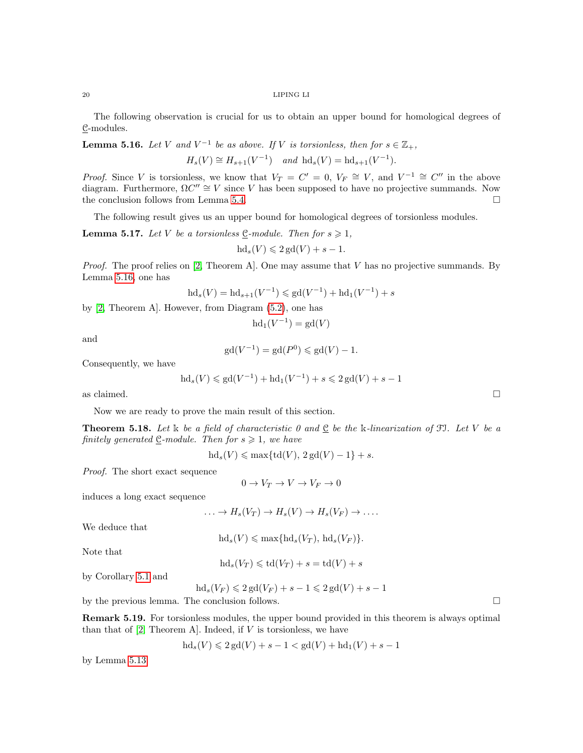The following observation is crucial for us to obtain an upper bound for homological degrees of C-modules.

<span id="page-19-0"></span>**Lemma 5.16.** Let V and  $V^{-1}$  be as above. If V is torsionless, then for  $s \in \mathbb{Z}_+$ ,  $H_s(V) \cong H_{s+1}(V^{-1})$  and  $\mathrm{hd}_s(V) = \mathrm{hd}_{s+1}(V^{-1}).$ 

*Proof.* Since V is torsionless, we know that  $V_T = C' = 0$ ,  $V_F \cong V$ , and  $V^{-1} \cong C''$  in the above diagram. Furthermore,  $\Omega C'' \cong V$  since V has been supposed to have no projective summands. Now the conclusion follows from Lemma [5.4.](#page-15-2)

The following result gives us an upper bound for homological degrees of torsionless modules.

**Lemma 5.17.** Let V be a torsionless  $\mathcal{C}$ -module. Then for  $s \geq 1$ ,

$$
\mathrm{hd}_s(V) \leqslant 2\,\mathrm{gd}(V) + s - 1.
$$

*Proof.* The proof relies on [\[2,](#page-20-0) Theorem A]. One may assume that V has no projective summands. By Lemma [5.16,](#page-19-0) one has

$$
hd_s(V) = hd_{s+1}(V^{-1}) \leq g d(V^{-1}) + hd_1(V^{-1}) + s
$$

by [\[2,](#page-20-0) Theorem A]. However, from Diagram [\(5.2\)](#page-18-0), one has

$$
hd_1(V^{-1}) = gd(V)
$$

and

$$
gd(V^{-1}) = gd(P^0) \leq gd(V) - 1.
$$

Consequently, we have

$$
hd_s(V) \leq g d(V^{-1}) + hd_1(V^{-1}) + s \leq 2 gd(V) + s - 1
$$

as claimed.  $\Box$ 

Now we are ready to prove the main result of this section.

**Theorem 5.18.** Let k be a field of characteristic 0 and  $\underline{C}$  be the k-linearization of FJ. Let V be a finitely generated  $\underline{C}$ -module. Then for  $s \geq 1$ , we have

 $hd_s(V) \leq \max\{td(V), 2 gd(V) - 1\} + s.$ 

Proof. The short exact sequence

$$
0 \to V_T \to V \to V_F \to 0
$$

induces a long exact sequence

$$
\ldots \to H_s(V_T) \to H_s(V) \to H_s(V_F) \to \ldots
$$

We deduce that

 $hd_s(V) \leq \max\{hd_s(V_T), dd_s(V_F)\}.$ 

Note that

 $\text{hd}_s(V_T) \leqslant \text{td}(V_T) + s = \text{td}(V) + s$ 

by Corollary [5.1](#page-15-1) and

$$
hd_s(V_F) \leq 2\,\mathrm{gd}(V_F) + s - 1 \leq 2\,\mathrm{gd}(V) + s - 1
$$

by the previous lemma. The conclusion follows.

Remark 5.19. For torsionless modules, the upper bound provided in this theorem is always optimal than that of  $[2,$  Theorem A. Indeed, if V is torsionless, we have

$$
hd_s(V) \leq 2\,\text{gd}(V) + s - 1 < \text{gd}(V) + \text{hd}_1(V) + s - 1
$$

by Lemma [5.13.](#page-17-0)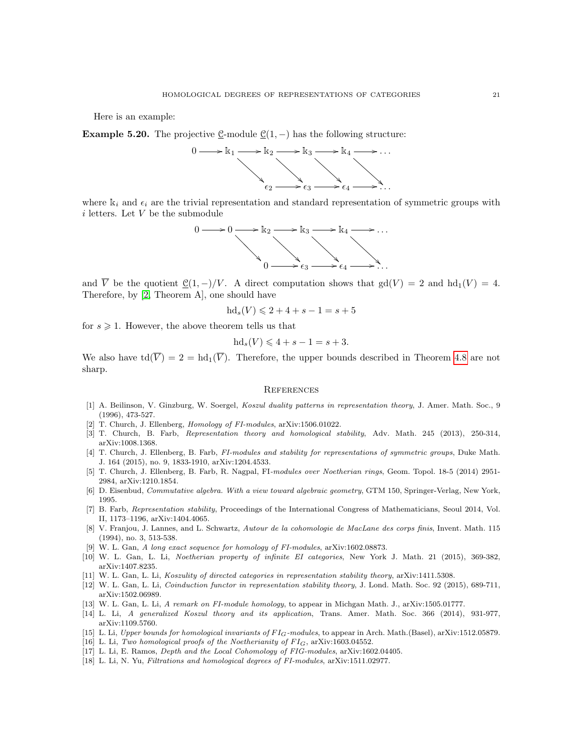Here is an example:

<span id="page-20-12"></span>**Example 5.20.** The projective C-module  $C(1, -)$  has the following structure:



where  $k_i$  and  $\epsilon_i$  are the trivial representation and standard representation of symmetric groups with  $i$  letters. Let  $V$  be the submodule



and  $\overline{V}$  be the quotient  $\underline{\mathcal{C}}(1,-)/V$ . A direct computation shows that  $gd(V) = 2$  and  $hd_1(V) = 4$ . Therefore, by [\[2,](#page-20-0) Theorem A], one should have

$$
hd_s(V) \leq 2 + 4 + s - 1 = s + 5
$$

for  $s \geq 1$ . However, the above theorem tells us that

$$
hd_s(V) \leqslant 4 + s - 1 = s + 3.
$$

We also have  $\text{td}(\overline{V}) = 2 = \text{hd}_{1}(\overline{V})$ . Therefore, the upper bounds described in Theorem [4.8](#page-14-1) are not sharp.

## <span id="page-20-1"></span>**REFERENCES**

- <span id="page-20-18"></span>[1] A. Beilinson, V. Ginzburg, W. Soergel, Koszul duality patterns in representation theory, J. Amer. Math. Soc., 9 (1996), 473-527.
- <span id="page-20-0"></span>[2] T. Church, J. Ellenberg, *Homology of FI-modules*, arXiv:1506.01022.
- <span id="page-20-5"></span>[3] T. Church, B. Farb, Representation theory and homological stability, Adv. Math. 245 (2013), 250-314, arXiv:1008.1368.
- <span id="page-20-2"></span>[4] T. Church, J. Ellenberg, B. Farb, FI-modules and stability for representations of symmetric groups, Duke Math. J. 164 (2015), no. 9, 1833-1910, arXiv:1204.4533.
- <span id="page-20-3"></span>[5] T. Church, J. Ellenberg, B. Farb, R. Nagpal, FI-modules over Noetherian rings, Geom. Topol. 18-5 (2014) 2951- 2984, arXiv:1210.1854.
- <span id="page-20-10"></span>[6] D. Eisenbud, Commutative algebra. With a view toward algebraic geometry, GTM 150, Springer-Verlag, New York, 1995.
- <span id="page-20-4"></span>[7] B. Farb, Representation stability, Proceedings of the International Congress of Mathematicians, Seoul 2014, Vol. II, 1173–1196, arXiv:1404.4065.
- <span id="page-20-9"></span>[8] V. Franjou, J. Lannes, and L. Schwartz, Autour de la cohomologie de MacLane des corps finis, Invent. Math. 115 (1994), no. 3, 513-538.
- <span id="page-20-13"></span>[9] W. L. Gan, A long exact sequence for homology of FI-modules, arXiv:1602.08873.
- <span id="page-20-7"></span>[10] W. L. Gan, L. Li, Noetherian property of infinite EI categories, New York J. Math. 21 (2015), 369-382, arXiv:1407.8235.
- <span id="page-20-6"></span>[11] W. L. Gan, L. Li, Koszulity of directed categories in representation stability theory, arXiv:1411.5308.
- <span id="page-20-8"></span>[12] W. L. Gan, L. Li, *Coinduction functor in representation stability theory*, J. Lond. Math. Soc. 92 (2015), 689-711, arXiv:1502.06989.
- <span id="page-20-17"></span>[13] W. L. Gan, L. Li, A remark on FI-module homology, to appear in Michgan Math. J., arXiv:1505.01777.
- <span id="page-20-19"></span>[14] L. Li, A generalized Koszul theory and its application, Trans. Amer. Math. Soc. 366 (2014), 931-977, arXiv:1109.5760.
- <span id="page-20-14"></span>[15] L. Li, Upper bounds for homological invariants of FI<sub>G</sub>-modules, to appear in Arch. Math.(Basel), arXiv:1512.05879.
- <span id="page-20-15"></span>[16] L. Li, Two homological proofs of the Noetherianity of  $FI_G$ , arXiv:1603.04552.
- <span id="page-20-16"></span>[17] L. Li, E. Ramos, Depth and the Local Cohomology of FIG-modules, arXiv:1602.04405.
- <span id="page-20-11"></span>[18] L. Li, N. Yu, Filtrations and homological degrees of FI-modules, arXiv:1511.02977.